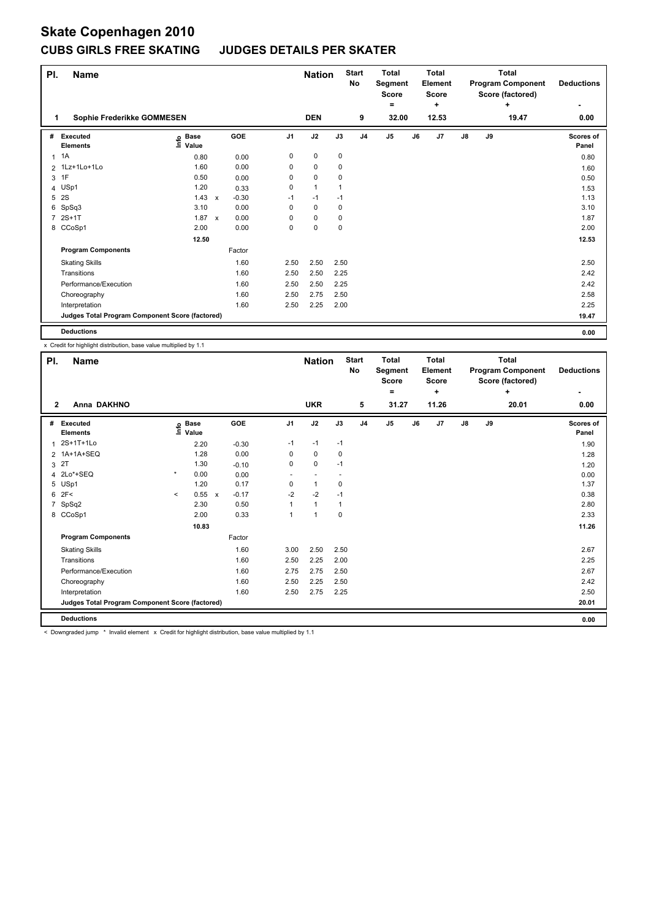### **CUBS GIRLS FREE SKATING JUDGES DETAILS PER SKATER**

| PI.          | <b>Name</b>                                     |                              |              |         |                | <b>Nation</b> |      | <b>Start</b><br>No | <b>Total</b><br>Segment<br><b>Score</b> |    | <b>Total</b><br>Element<br><b>Score</b> |               |    | <b>Total</b><br><b>Program Component</b><br>Score (factored) | <b>Deductions</b>  |
|--------------|-------------------------------------------------|------------------------------|--------------|---------|----------------|---------------|------|--------------------|-----------------------------------------|----|-----------------------------------------|---------------|----|--------------------------------------------------------------|--------------------|
| 1.           | Sophie Frederikke GOMMESEN                      |                              |              |         |                | <b>DEN</b>    |      | 9                  | ٠<br>32.00                              |    | ٠<br>12.53                              |               |    | ÷<br>19.47                                                   | 0.00               |
|              |                                                 |                              |              |         |                |               |      |                    |                                         |    |                                         |               |    |                                                              |                    |
| #            | Executed<br><b>Elements</b>                     | <b>Base</b><br>١nfo<br>Value |              | GOE     | J <sub>1</sub> | J2            | J3   | J <sub>4</sub>     | J <sub>5</sub>                          | J6 | J7                                      | $\mathsf{J}8$ | J9 |                                                              | Scores of<br>Panel |
| $\mathbf{1}$ | 1A                                              | 0.80                         |              | 0.00    | 0              | $\mathbf 0$   | 0    |                    |                                         |    |                                         |               |    |                                                              | 0.80               |
|              | 2 1Lz+1Lo+1Lo                                   | 1.60                         |              | 0.00    | 0              | 0             | 0    |                    |                                         |    |                                         |               |    |                                                              | 1.60               |
| 3            | 1F                                              | 0.50                         |              | 0.00    | 0              | $\mathbf 0$   | 0    |                    |                                         |    |                                         |               |    |                                                              | 0.50               |
|              | 4 USp1                                          | 1.20                         |              | 0.33    | 0              | $\mathbf{1}$  |      |                    |                                         |    |                                         |               |    |                                                              | 1.53               |
| 5            | 2S                                              | 1.43                         | $\mathsf{x}$ | $-0.30$ | $-1$           | $-1$          | $-1$ |                    |                                         |    |                                         |               |    |                                                              | 1.13               |
| 6            | SpSq3                                           | 3.10                         |              | 0.00    | 0              | $\mathbf 0$   | 0    |                    |                                         |    |                                         |               |    |                                                              | 3.10               |
| 7            | $2S+1T$                                         | 1.87                         | $\mathbf{x}$ | 0.00    | 0              | $\mathbf 0$   | 0    |                    |                                         |    |                                         |               |    |                                                              | 1.87               |
|              | 8 CCoSp1                                        | 2.00                         |              | 0.00    | 0              | $\mathbf 0$   | 0    |                    |                                         |    |                                         |               |    |                                                              | 2.00               |
|              |                                                 | 12.50                        |              |         |                |               |      |                    |                                         |    |                                         |               |    |                                                              | 12.53              |
|              | <b>Program Components</b>                       |                              |              | Factor  |                |               |      |                    |                                         |    |                                         |               |    |                                                              |                    |
|              | <b>Skating Skills</b>                           |                              |              | 1.60    | 2.50           | 2.50          | 2.50 |                    |                                         |    |                                         |               |    |                                                              | 2.50               |
|              | Transitions                                     |                              |              | 1.60    | 2.50           | 2.50          | 2.25 |                    |                                         |    |                                         |               |    |                                                              | 2.42               |
|              | Performance/Execution                           |                              |              | 1.60    | 2.50           | 2.50          | 2.25 |                    |                                         |    |                                         |               |    |                                                              | 2.42               |
|              | Choreography                                    |                              |              | 1.60    | 2.50           | 2.75          | 2.50 |                    |                                         |    |                                         |               |    |                                                              | 2.58               |
|              | Interpretation                                  |                              |              | 1.60    | 2.50           | 2.25          | 2.00 |                    |                                         |    |                                         |               |    |                                                              | 2.25               |
|              | Judges Total Program Component Score (factored) |                              |              |         |                |               |      |                    |                                         |    |                                         |               |    |                                                              | 19.47              |
|              | <b>Deductions</b>                               |                              |              |         |                |               |      |                    |                                         |    |                                         |               |    |                                                              | 0.00               |

x Credit for highlight distribution, base value multiplied by 1.1

| PI.          | <b>Name</b>                                                                                                   |         |                      |              |         |                | <b>Nation</b>        |      | <b>Start</b><br>No | <b>Total</b><br>Segment<br><b>Score</b> |    | <b>Total</b><br>Element<br><b>Score</b> |               |    | <b>Total</b><br><b>Program Component</b><br>Score (factored) | <b>Deductions</b>  |
|--------------|---------------------------------------------------------------------------------------------------------------|---------|----------------------|--------------|---------|----------------|----------------------|------|--------------------|-----------------------------------------|----|-----------------------------------------|---------------|----|--------------------------------------------------------------|--------------------|
|              |                                                                                                               |         |                      |              |         |                |                      |      |                    | $=$                                     |    | ٠                                       |               |    | ٠                                                            | ٠                  |
| $\mathbf{2}$ | Anna DAKHNO                                                                                                   |         |                      |              |         |                | <b>UKR</b>           |      | 5                  | 31.27                                   |    | 11.26                                   |               |    | 20.01                                                        | 0.00               |
| #            | Executed<br><b>Elements</b>                                                                                   | ١nf٥    | <b>Base</b><br>Value |              | GOE     | J <sub>1</sub> | J2                   | J3   | J <sub>4</sub>     | J <sub>5</sub>                          | J6 | J7                                      | $\mathsf{J}8$ | J9 |                                                              | Scores of<br>Panel |
| 1            | 2S+1T+1Lo                                                                                                     |         | 2.20                 |              | $-0.30$ | $-1$           | $-1$                 | $-1$ |                    |                                         |    |                                         |               |    |                                                              | 1.90               |
|              | 2 1A+1A+SEQ                                                                                                   |         | 1.28                 |              | 0.00    | 0              | 0                    | 0    |                    |                                         |    |                                         |               |    |                                                              | 1.28               |
|              | 3 <sup>2</sup>                                                                                                |         | 1.30                 |              | $-0.10$ | 0              | $\mathbf 0$          | $-1$ |                    |                                         |    |                                         |               |    |                                                              | 1.20               |
|              | 4 2Lo*+SEQ                                                                                                    | $\star$ | 0.00                 |              | 0.00    |                |                      |      |                    |                                         |    |                                         |               |    |                                                              | 0.00               |
|              | 5 USp1                                                                                                        |         | 1.20                 |              | 0.17    | 0              | $\mathbf{1}$         | 0    |                    |                                         |    |                                         |               |    |                                                              | 1.37               |
|              | 62F<                                                                                                          | $\prec$ | 0.55                 | $\mathsf{x}$ | $-0.17$ | $-2$           | $-2$                 | $-1$ |                    |                                         |    |                                         |               |    |                                                              | 0.38               |
|              | 7 SpSq2                                                                                                       |         | 2.30                 |              | 0.50    |                | $\mathbf{1}$         | 1    |                    |                                         |    |                                         |               |    |                                                              | 2.80               |
|              | 8 CCoSp1                                                                                                      |         | 2.00                 |              | 0.33    |                | $\blacktriangleleft$ | 0    |                    |                                         |    |                                         |               |    |                                                              | 2.33               |
|              |                                                                                                               |         | 10.83                |              |         |                |                      |      |                    |                                         |    |                                         |               |    |                                                              | 11.26              |
|              | <b>Program Components</b>                                                                                     |         |                      |              | Factor  |                |                      |      |                    |                                         |    |                                         |               |    |                                                              |                    |
|              | <b>Skating Skills</b>                                                                                         |         |                      |              | 1.60    | 3.00           | 2.50                 | 2.50 |                    |                                         |    |                                         |               |    |                                                              | 2.67               |
|              | Transitions                                                                                                   |         |                      |              | 1.60    | 2.50           | 2.25                 | 2.00 |                    |                                         |    |                                         |               |    |                                                              | 2.25               |
|              | Performance/Execution                                                                                         |         |                      |              | 1.60    | 2.75           | 2.75                 | 2.50 |                    |                                         |    |                                         |               |    |                                                              | 2.67               |
|              | Choreography                                                                                                  |         |                      |              | 1.60    | 2.50           | 2.25                 | 2.50 |                    |                                         |    |                                         |               |    |                                                              | 2.42               |
|              | Interpretation                                                                                                |         |                      |              | 1.60    | 2.50           | 2.75                 | 2.25 |                    |                                         |    |                                         |               |    |                                                              | 2.50               |
|              | Judges Total Program Component Score (factored)                                                               |         |                      |              |         |                |                      |      |                    |                                         |    |                                         |               |    |                                                              | 20.01              |
|              | <b>Deductions</b>                                                                                             |         |                      |              |         |                |                      |      |                    |                                         |    |                                         |               |    |                                                              | 0.00               |
|              | Notice and there is send to an analysis. And the brother distribution shows that an international contract of |         |                      |              |         |                |                      |      |                    |                                         |    |                                         |               |    |                                                              |                    |

< Downgraded jump \* Invalid element x Credit for highlight distribution, base value multiplied by 1.1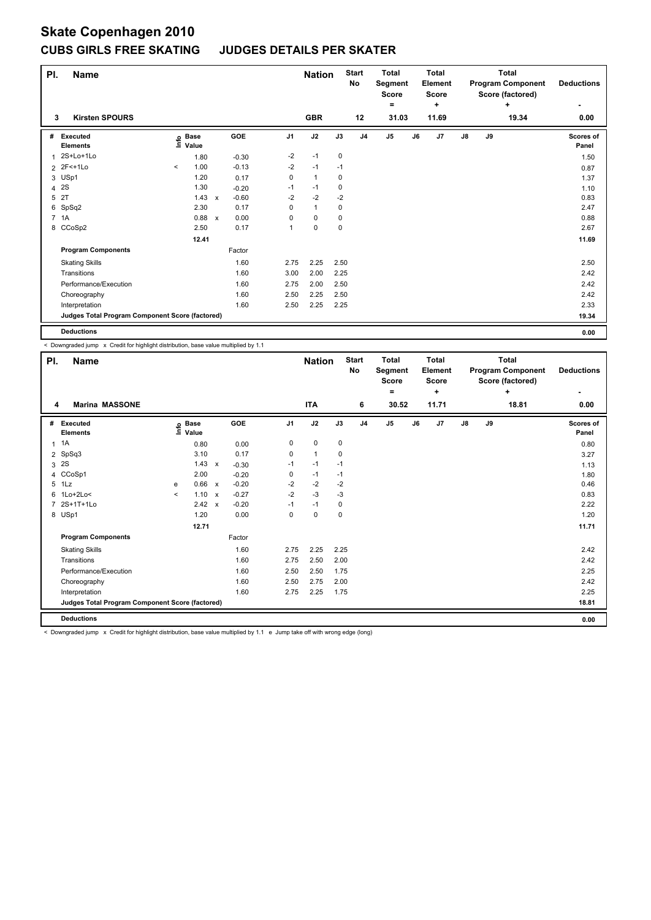### **CUBS GIRLS FREE SKATING JUDGES DETAILS PER SKATER**

| PI. | <b>Name</b>                                     |          |                      |              |            |                | <b>Nation</b>  |             | <b>Start</b><br>No | <b>Total</b><br>Segment<br><b>Score</b> |    | <b>Total</b><br>Element<br><b>Score</b> |    |    | <b>Total</b><br><b>Program Component</b><br>Score (factored) | <b>Deductions</b>  |
|-----|-------------------------------------------------|----------|----------------------|--------------|------------|----------------|----------------|-------------|--------------------|-----------------------------------------|----|-----------------------------------------|----|----|--------------------------------------------------------------|--------------------|
|     |                                                 |          |                      |              |            |                |                |             |                    | ٠                                       |    | ÷                                       |    |    | ÷                                                            |                    |
| 3   | <b>Kirsten SPOURS</b>                           |          |                      |              |            |                | <b>GBR</b>     |             | 12                 | 31.03                                   |    | 11.69                                   |    |    | 19.34                                                        | 0.00               |
| #   | Executed<br><b>Elements</b>                     | lnfo     | <b>Base</b><br>Value |              | <b>GOE</b> | J <sub>1</sub> | J2             | J3          | J <sub>4</sub>     | J <sub>5</sub>                          | J6 | J7                                      | J8 | J9 |                                                              | Scores of<br>Panel |
| 1   | 2S+Lo+1Lo                                       |          | 1.80                 |              | $-0.30$    | $-2$           | $-1$           | $\pmb{0}$   |                    |                                         |    |                                         |    |    |                                                              | 1.50               |
|     | 2 2F<+1Lo                                       | $\hat{}$ | 1.00                 |              | $-0.13$    | $-2$           | $-1$           | $-1$        |                    |                                         |    |                                         |    |    |                                                              | 0.87               |
|     | 3 USp1                                          |          | 1.20                 |              | 0.17       | 0              | $\mathbf{1}$   | 0           |                    |                                         |    |                                         |    |    |                                                              | 1.37               |
| 4   | 2S                                              |          | 1.30                 |              | $-0.20$    | -1             | $-1$           | 0           |                    |                                         |    |                                         |    |    |                                                              | 1.10               |
| 5   | 2T                                              |          | 1.43                 | $\mathsf{x}$ | $-0.60$    | $-2$           | $-2$           | $-2$        |                    |                                         |    |                                         |    |    |                                                              | 0.83               |
| 6   | SpSq2                                           |          | 2.30                 |              | 0.17       | 0              | $\overline{1}$ | 0           |                    |                                         |    |                                         |    |    |                                                              | 2.47               |
|     | 7 1A                                            |          | 0.88                 | $\mathsf{x}$ | 0.00       | 0              | $\mathbf 0$    | 0           |                    |                                         |    |                                         |    |    |                                                              | 0.88               |
|     | 8 CCoSp2                                        |          | 2.50                 |              | 0.17       | 1              | $\mathbf 0$    | $\mathbf 0$ |                    |                                         |    |                                         |    |    |                                                              | 2.67               |
|     |                                                 |          | 12.41                |              |            |                |                |             |                    |                                         |    |                                         |    |    |                                                              | 11.69              |
|     | <b>Program Components</b>                       |          |                      |              | Factor     |                |                |             |                    |                                         |    |                                         |    |    |                                                              |                    |
|     | <b>Skating Skills</b>                           |          |                      |              | 1.60       | 2.75           | 2.25           | 2.50        |                    |                                         |    |                                         |    |    |                                                              | 2.50               |
|     | Transitions                                     |          |                      |              | 1.60       | 3.00           | 2.00           | 2.25        |                    |                                         |    |                                         |    |    |                                                              | 2.42               |
|     | Performance/Execution                           |          |                      |              | 1.60       | 2.75           | 2.00           | 2.50        |                    |                                         |    |                                         |    |    |                                                              | 2.42               |
|     | Choreography                                    |          |                      |              | 1.60       | 2.50           | 2.25           | 2.50        |                    |                                         |    |                                         |    |    |                                                              | 2.42               |
|     | Interpretation                                  |          |                      |              | 1.60       | 2.50           | 2.25           | 2.25        |                    |                                         |    |                                         |    |    |                                                              | 2.33               |
|     | Judges Total Program Component Score (factored) |          |                      |              |            |                |                |             |                    |                                         |    |                                         |    |    |                                                              | 19.34              |
|     | <b>Deductions</b>                               |          |                      |              |            |                |                |             |                    |                                         |    |                                         |    |    |                                                              | 0.00               |

< Downgraded jump x Credit for highlight distribution, base value multiplied by 1.1

| PI. | <b>Name</b>                                                                       |         |                      |              |         |                | <b>Nation</b> |      | <b>Start</b><br>No | <b>Total</b><br>Segment<br><b>Score</b><br>$=$ |    | Total<br>Element<br><b>Score</b><br>÷ |    |    | <b>Total</b><br><b>Program Component</b><br>Score (factored)<br>÷ | <b>Deductions</b>  |
|-----|-----------------------------------------------------------------------------------|---------|----------------------|--------------|---------|----------------|---------------|------|--------------------|------------------------------------------------|----|---------------------------------------|----|----|-------------------------------------------------------------------|--------------------|
| 4   | <b>Marina MASSONE</b>                                                             |         |                      |              |         |                | <b>ITA</b>    |      | 6                  | 30.52                                          |    | 11.71                                 |    |    | 18.81                                                             | 0.00               |
| #   | Executed<br><b>Elements</b>                                                       | lnfo    | <b>Base</b><br>Value |              | GOE     | J <sub>1</sub> | J2            | J3   | J <sub>4</sub>     | J5                                             | J6 | J7                                    | J8 | J9 |                                                                   | Scores of<br>Panel |
|     | $1 \t1A$                                                                          |         | 0.80                 |              | 0.00    | 0              | 0             | 0    |                    |                                                |    |                                       |    |    |                                                                   | 0.80               |
|     | 2 SpSq3                                                                           |         | 3.10                 |              | 0.17    | 0              | 1             | 0    |                    |                                                |    |                                       |    |    |                                                                   | 3.27               |
|     | 3 2S                                                                              |         | 1.43                 | $\mathbf{x}$ | $-0.30$ | $-1$           | $-1$          | $-1$ |                    |                                                |    |                                       |    |    |                                                                   | 1.13               |
|     | 4 CCoSp1                                                                          |         | 2.00                 |              | $-0.20$ | 0              | $-1$          | $-1$ |                    |                                                |    |                                       |    |    |                                                                   | 1.80               |
|     | 5 1Lz                                                                             | e       | 0.66 x               |              | $-0.20$ | $-2$           | $-2$          | $-2$ |                    |                                                |    |                                       |    |    |                                                                   | 0.46               |
| 6   | $1$ Lo $+2$ Lo<                                                                   | $\prec$ | $1.10 \times$        |              | $-0.27$ | $-2$           | $-3$          | $-3$ |                    |                                                |    |                                       |    |    |                                                                   | 0.83               |
|     | 7 2S+1T+1Lo                                                                       |         | $2.42 \times$        |              | $-0.20$ | $-1$           | $-1$          | 0    |                    |                                                |    |                                       |    |    |                                                                   | 2.22               |
|     | 8 USp1                                                                            |         | 1.20                 |              | 0.00    | 0              | 0             | 0    |                    |                                                |    |                                       |    |    |                                                                   | 1.20               |
|     |                                                                                   |         | 12.71                |              |         |                |               |      |                    |                                                |    |                                       |    |    |                                                                   | 11.71              |
|     | <b>Program Components</b>                                                         |         |                      |              | Factor  |                |               |      |                    |                                                |    |                                       |    |    |                                                                   |                    |
|     | <b>Skating Skills</b>                                                             |         |                      |              | 1.60    | 2.75           | 2.25          | 2.25 |                    |                                                |    |                                       |    |    |                                                                   | 2.42               |
|     | Transitions                                                                       |         |                      |              | 1.60    | 2.75           | 2.50          | 2.00 |                    |                                                |    |                                       |    |    |                                                                   | 2.42               |
|     | Performance/Execution                                                             |         |                      |              | 1.60    | 2.50           | 2.50          | 1.75 |                    |                                                |    |                                       |    |    |                                                                   | 2.25               |
|     | Choreography                                                                      |         |                      |              | 1.60    | 2.50           | 2.75          | 2.00 |                    |                                                |    |                                       |    |    |                                                                   | 2.42               |
|     | Interpretation                                                                    |         |                      |              | 1.60    | 2.75           | 2.25          | 1.75 |                    |                                                |    |                                       |    |    |                                                                   | 2.25               |
|     | Judges Total Program Component Score (factored)                                   |         |                      |              |         |                |               |      |                    |                                                |    |                                       |    |    |                                                                   | 18.81              |
|     | <b>Deductions</b>                                                                 |         |                      |              |         |                |               |      |                    |                                                |    |                                       |    |    |                                                                   | 0.00               |
|     | $\alpha$ me representative and the mean as a contract of the contract of $\alpha$ |         |                      |              |         |                |               |      |                    |                                                |    |                                       |    |    |                                                                   |                    |

< Downgraded jump x Credit for highlight distribution, base value multiplied by 1.1 e Jump take off with wrong edge (long)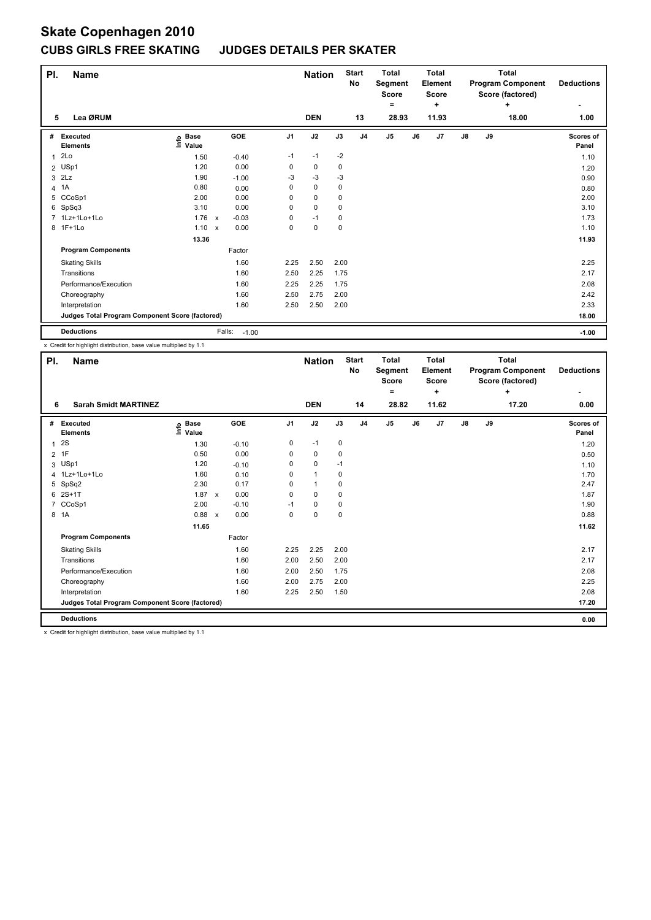### **CUBS GIRLS FREE SKATING JUDGES DETAILS PER SKATER**

| PI.            | <b>Name</b>                                     |                              |              |                   |                | <b>Nation</b> |             | <b>Start</b><br>No | <b>Total</b><br>Segment<br>Score<br>۰ |    | <b>Total</b><br>Element<br><b>Score</b><br>٠ |               |    | <b>Total</b><br><b>Program Component</b><br>Score (factored)<br>÷ | <b>Deductions</b>  |
|----------------|-------------------------------------------------|------------------------------|--------------|-------------------|----------------|---------------|-------------|--------------------|---------------------------------------|----|----------------------------------------------|---------------|----|-------------------------------------------------------------------|--------------------|
| 5              | Lea ØRUM                                        |                              |              |                   |                | <b>DEN</b>    |             | 13                 | 28.93                                 |    | 11.93                                        |               |    | 18.00                                                             | 1.00               |
| #              | Executed<br><b>Elements</b>                     | <b>Base</b><br>lnfo<br>Value |              | GOE               | J <sub>1</sub> | J2            | J3          | J <sub>4</sub>     | J <sub>5</sub>                        | J6 | J <sub>7</sub>                               | $\mathsf{J}8$ | J9 |                                                                   | Scores of<br>Panel |
| 1              | 2Lo                                             | 1.50                         |              | $-0.40$           | $-1$           | $-1$          | $-2$        |                    |                                       |    |                                              |               |    |                                                                   | 1.10               |
| $\overline{2}$ | USp1                                            | 1.20                         |              | 0.00              | 0              | $\mathbf 0$   | 0           |                    |                                       |    |                                              |               |    |                                                                   | 1.20               |
| 3              | 2Lz                                             | 1.90                         |              | $-1.00$           | -3             | $-3$          | $-3$        |                    |                                       |    |                                              |               |    |                                                                   | 0.90               |
|                | 4 1A                                            | 0.80                         |              | 0.00              | 0              | $\mathbf 0$   | 0           |                    |                                       |    |                                              |               |    |                                                                   | 0.80               |
| 5              | CCoSp1                                          | 2.00                         |              | 0.00              | 0              | 0             | 0           |                    |                                       |    |                                              |               |    |                                                                   | 2.00               |
|                | 6 SpSq3                                         | 3.10                         |              | 0.00              | 0              | $\mathbf 0$   | 0           |                    |                                       |    |                                              |               |    |                                                                   | 3.10               |
|                | 7 1Lz+1Lo+1Lo                                   | 1.76                         | $\mathbf{x}$ | $-0.03$           | 0              | $-1$          | 0           |                    |                                       |    |                                              |               |    |                                                                   | 1.73               |
|                | 8 1F+1Lo                                        | $1.10 \times$                |              | 0.00              | 0              | $\mathbf 0$   | $\mathbf 0$ |                    |                                       |    |                                              |               |    |                                                                   | 1.10               |
|                |                                                 | 13.36                        |              |                   |                |               |             |                    |                                       |    |                                              |               |    |                                                                   | 11.93              |
|                | <b>Program Components</b>                       |                              |              | Factor            |                |               |             |                    |                                       |    |                                              |               |    |                                                                   |                    |
|                | <b>Skating Skills</b>                           |                              |              | 1.60              | 2.25           | 2.50          | 2.00        |                    |                                       |    |                                              |               |    |                                                                   | 2.25               |
|                | Transitions                                     |                              |              | 1.60              | 2.50           | 2.25          | 1.75        |                    |                                       |    |                                              |               |    |                                                                   | 2.17               |
|                | Performance/Execution                           |                              |              | 1.60              | 2.25           | 2.25          | 1.75        |                    |                                       |    |                                              |               |    |                                                                   | 2.08               |
|                | Choreography                                    |                              |              | 1.60              | 2.50           | 2.75          | 2.00        |                    |                                       |    |                                              |               |    |                                                                   | 2.42               |
|                | Interpretation                                  |                              |              | 1.60              | 2.50           | 2.50          | 2.00        |                    |                                       |    |                                              |               |    |                                                                   | 2.33               |
|                | Judges Total Program Component Score (factored) |                              |              |                   |                |               |             |                    |                                       |    |                                              |               |    |                                                                   | 18.00              |
|                | <b>Deductions</b>                               |                              |              | Falls:<br>$-1.00$ |                |               |             |                    |                                       |    |                                              |               |    |                                                                   | $-1.00$            |

x Credit for highlight distribution, base value multiplied by 1.1

| PI.          | <b>Name</b>                                                         |                            |              |         |                | <b>Nation</b> |      | <b>Start</b><br><b>No</b> | <b>Total</b><br>Segment<br><b>Score</b><br>$=$ |    | <b>Total</b><br>Element<br><b>Score</b><br>÷ |               |    | <b>Total</b><br><b>Program Component</b><br>Score (factored)<br>÷ | <b>Deductions</b>  |
|--------------|---------------------------------------------------------------------|----------------------------|--------------|---------|----------------|---------------|------|---------------------------|------------------------------------------------|----|----------------------------------------------|---------------|----|-------------------------------------------------------------------|--------------------|
| 6            | <b>Sarah Smidt MARTINEZ</b>                                         |                            |              |         |                | <b>DEN</b>    |      | 14                        | 28.82                                          |    | 11.62                                        |               |    | 17.20                                                             | ٠<br>0.00          |
|              |                                                                     |                            |              |         |                |               |      |                           |                                                |    |                                              |               |    |                                                                   |                    |
|              | # Executed<br><b>Elements</b>                                       | e Base<br>E Value<br>Value |              | GOE     | J <sub>1</sub> | J2            | J3   | J <sub>4</sub>            | J5                                             | J6 | J7                                           | $\mathsf{J}8$ | J9 |                                                                   | Scores of<br>Panel |
| $\mathbf{1}$ | <b>2S</b>                                                           | 1.30                       |              | $-0.10$ | 0              | $-1$          | 0    |                           |                                                |    |                                              |               |    |                                                                   | 1.20               |
|              | 2 1F                                                                | 0.50                       |              | 0.00    | 0              | 0             | 0    |                           |                                                |    |                                              |               |    |                                                                   | 0.50               |
|              | 3 USp1                                                              | 1.20                       |              | $-0.10$ | 0              | $\pmb{0}$     | $-1$ |                           |                                                |    |                                              |               |    |                                                                   | 1.10               |
|              | 4 1Lz+1Lo+1Lo                                                       | 1.60                       |              | 0.10    | 0              | $\mathbf{1}$  | 0    |                           |                                                |    |                                              |               |    |                                                                   | 1.70               |
|              | 5 SpSq2                                                             | 2.30                       |              | 0.17    | 0              | 1             | 0    |                           |                                                |    |                                              |               |    |                                                                   | 2.47               |
| 6            | $2S+1T$                                                             | 1.87                       | $\pmb{\chi}$ | 0.00    | 0              | 0             | 0    |                           |                                                |    |                                              |               |    |                                                                   | 1.87               |
| 7            | CCoSp1                                                              | 2.00                       |              | $-0.10$ | $-1$           | $\mathbf 0$   | 0    |                           |                                                |    |                                              |               |    |                                                                   | 1.90               |
|              | 8 1A                                                                | 0.88 x                     |              | 0.00    | 0              | 0             | 0    |                           |                                                |    |                                              |               |    |                                                                   | 0.88               |
|              |                                                                     | 11.65                      |              |         |                |               |      |                           |                                                |    |                                              |               |    |                                                                   | 11.62              |
|              | <b>Program Components</b>                                           |                            |              | Factor  |                |               |      |                           |                                                |    |                                              |               |    |                                                                   |                    |
|              | <b>Skating Skills</b>                                               |                            |              | 1.60    | 2.25           | 2.25          | 2.00 |                           |                                                |    |                                              |               |    |                                                                   | 2.17               |
|              | Transitions                                                         |                            |              | 1.60    | 2.00           | 2.50          | 2.00 |                           |                                                |    |                                              |               |    |                                                                   | 2.17               |
|              | Performance/Execution                                               |                            |              | 1.60    | 2.00           | 2.50          | 1.75 |                           |                                                |    |                                              |               |    |                                                                   | 2.08               |
|              | Choreography                                                        |                            |              | 1.60    | 2.00           | 2.75          | 2.00 |                           |                                                |    |                                              |               |    |                                                                   | 2.25               |
|              | Interpretation                                                      |                            |              | 1.60    | 2.25           | 2.50          | 1.50 |                           |                                                |    |                                              |               |    |                                                                   | 2.08               |
|              | Judges Total Program Component Score (factored)                     |                            |              |         |                |               |      |                           |                                                |    |                                              |               |    |                                                                   | 17.20              |
|              | <b>Deductions</b>                                                   |                            |              |         |                |               |      |                           |                                                |    |                                              |               |    |                                                                   | 0.00               |
|              | v. Credit for bighlight distribution, boog volup multiplied by 4.4. |                            |              |         |                |               |      |                           |                                                |    |                                              |               |    |                                                                   |                    |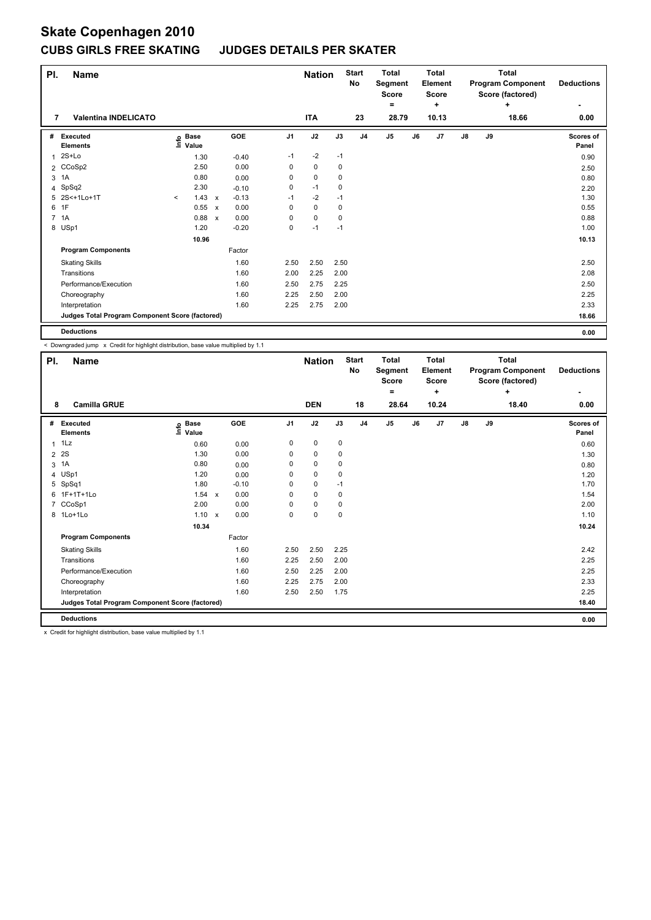### **CUBS GIRLS FREE SKATING JUDGES DETAILS PER SKATER**

| PI. | <b>Name</b>                                     |         |                      |                           |         |                | <b>Nation</b> |      | <b>Start</b><br>No | <b>Total</b><br>Segment<br><b>Score</b><br>۰ |    | <b>Total</b><br>Element<br>Score<br>÷ |               |    | <b>Total</b><br><b>Program Component</b><br>Score (factored)<br>÷ | <b>Deductions</b><br>٠ |
|-----|-------------------------------------------------|---------|----------------------|---------------------------|---------|----------------|---------------|------|--------------------|----------------------------------------------|----|---------------------------------------|---------------|----|-------------------------------------------------------------------|------------------------|
| 7   | <b>Valentina INDELICATO</b>                     |         |                      |                           |         |                | <b>ITA</b>    |      | 23                 | 28.79                                        |    | 10.13                                 |               |    | 18.66                                                             | 0.00                   |
| #   | Executed<br><b>Elements</b>                     | ١nfo    | <b>Base</b><br>Value |                           | GOE     | J <sub>1</sub> | J2            | J3   | J <sub>4</sub>     | J <sub>5</sub>                               | J6 | J7                                    | $\mathsf{J}8$ | J9 |                                                                   | Scores of<br>Panel     |
| 1   | 2S+Lo                                           |         | 1.30                 |                           | $-0.40$ | $-1$           | $-2$          | $-1$ |                    |                                              |    |                                       |               |    |                                                                   | 0.90                   |
|     | 2 CCoSp2                                        |         | 2.50                 |                           | 0.00    | 0              | 0             | 0    |                    |                                              |    |                                       |               |    |                                                                   | 2.50                   |
| 3   | 1A                                              |         | 0.80                 |                           | 0.00    | 0              | $\mathbf 0$   | 0    |                    |                                              |    |                                       |               |    |                                                                   | 0.80                   |
|     | 4 SpSq2                                         |         | 2.30                 |                           | $-0.10$ | 0              | $-1$          | 0    |                    |                                              |    |                                       |               |    |                                                                   | 2.20                   |
| 5   | 2S<+1Lo+1T                                      | $\prec$ | 1.43                 | $\mathsf{x}$              | $-0.13$ | $-1$           | $-2$          | $-1$ |                    |                                              |    |                                       |               |    |                                                                   | 1.30                   |
| 6   | 1F                                              |         | 0.55                 | $\boldsymbol{\mathsf{x}}$ | 0.00    | 0              | $\mathbf 0$   | 0    |                    |                                              |    |                                       |               |    |                                                                   | 0.55                   |
|     | 7 1A                                            |         | 0.88                 | $\boldsymbol{\mathsf{x}}$ | 0.00    | 0              | $\mathbf 0$   | 0    |                    |                                              |    |                                       |               |    |                                                                   | 0.88                   |
|     | 8 USp1                                          |         | 1.20                 |                           | $-0.20$ | 0              | $-1$          | $-1$ |                    |                                              |    |                                       |               |    |                                                                   | 1.00                   |
|     |                                                 |         | 10.96                |                           |         |                |               |      |                    |                                              |    |                                       |               |    |                                                                   | 10.13                  |
|     | <b>Program Components</b>                       |         |                      |                           | Factor  |                |               |      |                    |                                              |    |                                       |               |    |                                                                   |                        |
|     | <b>Skating Skills</b>                           |         |                      |                           | 1.60    | 2.50           | 2.50          | 2.50 |                    |                                              |    |                                       |               |    |                                                                   | 2.50                   |
|     | Transitions                                     |         |                      |                           | 1.60    | 2.00           | 2.25          | 2.00 |                    |                                              |    |                                       |               |    |                                                                   | 2.08                   |
|     | Performance/Execution                           |         |                      |                           | 1.60    | 2.50           | 2.75          | 2.25 |                    |                                              |    |                                       |               |    |                                                                   | 2.50                   |
|     | Choreography                                    |         |                      |                           | 1.60    | 2.25           | 2.50          | 2.00 |                    |                                              |    |                                       |               |    |                                                                   | 2.25                   |
|     | Interpretation                                  |         |                      |                           | 1.60    | 2.25           | 2.75          | 2.00 |                    |                                              |    |                                       |               |    |                                                                   | 2.33                   |
|     | Judges Total Program Component Score (factored) |         |                      |                           |         |                |               |      |                    |                                              |    |                                       |               |    |                                                                   | 18.66                  |
|     | <b>Deductions</b>                               |         |                      |                           |         |                |               |      |                    |                                              |    |                                       |               |    |                                                                   | 0.00                   |

< Downgraded jump x Credit for highlight distribution, base value multiplied by 1.1

| PI. | <b>Name</b>                                                      |                            |         |                | <b>Nation</b> |      | <b>Start</b><br><b>No</b> | <b>Total</b><br>Segment<br><b>Score</b><br>۰ |    | <b>Total</b><br>Element<br><b>Score</b><br>÷ |    |    | <b>Total</b><br><b>Program Component</b><br>Score (factored)<br>÷ | <b>Deductions</b><br>÷ |
|-----|------------------------------------------------------------------|----------------------------|---------|----------------|---------------|------|---------------------------|----------------------------------------------|----|----------------------------------------------|----|----|-------------------------------------------------------------------|------------------------|
| 8   | <b>Camilla GRUE</b>                                              |                            |         |                | <b>DEN</b>    |      | 18                        | 28.64                                        |    | 10.24                                        |    |    | 18.40                                                             | 0.00                   |
| #   | <b>Executed</b><br><b>Elements</b>                               | e Base<br>E Value<br>Value | GOE     | J <sub>1</sub> | J2            | J3   | J <sub>4</sub>            | J <sub>5</sub>                               | J6 | J7                                           | J8 | J9 |                                                                   | Scores of<br>Panel     |
|     | $1$ $1$ $1$                                                      | 0.60                       | 0.00    | 0              | 0             | 0    |                           |                                              |    |                                              |    |    |                                                                   | 0.60                   |
|     | 2 2 S                                                            | 1.30                       | 0.00    | 0              | 0             | 0    |                           |                                              |    |                                              |    |    |                                                                   | 1.30                   |
| 3   | 1A                                                               | 0.80                       | 0.00    | 0              | 0             | 0    |                           |                                              |    |                                              |    |    |                                                                   | 0.80                   |
|     | 4 USp1                                                           | 1.20                       | 0.00    | 0              | $\mathbf 0$   | 0    |                           |                                              |    |                                              |    |    |                                                                   | 1.20                   |
| 5   | SpSq1                                                            | 1.80                       | $-0.10$ | 0              | $\pmb{0}$     | $-1$ |                           |                                              |    |                                              |    |    |                                                                   | 1.70                   |
|     | 6 1F+1T+1Lo                                                      | 1.54 x                     | 0.00    | 0              | $\mathbf 0$   | 0    |                           |                                              |    |                                              |    |    |                                                                   | 1.54                   |
|     | 7 CCoSp1                                                         | 2.00                       | 0.00    | 0              | $\mathbf 0$   | 0    |                           |                                              |    |                                              |    |    |                                                                   | 2.00                   |
|     | 8 1Lo+1Lo                                                        | $1.10 \times$              | 0.00    | 0              | $\pmb{0}$     | 0    |                           |                                              |    |                                              |    |    |                                                                   | 1.10                   |
|     |                                                                  | 10.34                      |         |                |               |      |                           |                                              |    |                                              |    |    |                                                                   | 10.24                  |
|     | <b>Program Components</b>                                        |                            | Factor  |                |               |      |                           |                                              |    |                                              |    |    |                                                                   |                        |
|     | <b>Skating Skills</b>                                            |                            | 1.60    | 2.50           | 2.50          | 2.25 |                           |                                              |    |                                              |    |    |                                                                   | 2.42                   |
|     | Transitions                                                      |                            | 1.60    | 2.25           | 2.50          | 2.00 |                           |                                              |    |                                              |    |    |                                                                   | 2.25                   |
|     | Performance/Execution                                            |                            | 1.60    | 2.50           | 2.25          | 2.00 |                           |                                              |    |                                              |    |    |                                                                   | 2.25                   |
|     | Choreography                                                     |                            | 1.60    | 2.25           | 2.75          | 2.00 |                           |                                              |    |                                              |    |    |                                                                   | 2.33                   |
|     | Interpretation                                                   |                            | 1.60    | 2.50           | 2.50          | 1.75 |                           |                                              |    |                                              |    |    |                                                                   | 2.25                   |
|     | Judges Total Program Component Score (factored)                  |                            |         |                |               |      |                           |                                              |    |                                              |    |    |                                                                   | 18.40                  |
|     | <b>Deductions</b>                                                |                            |         |                |               |      |                           |                                              |    |                                              |    |    |                                                                   | 0.00                   |
|     | Cendit for bighlight distribution, boog volvo multiplied by 4.4. |                            |         |                |               |      |                           |                                              |    |                                              |    |    |                                                                   |                        |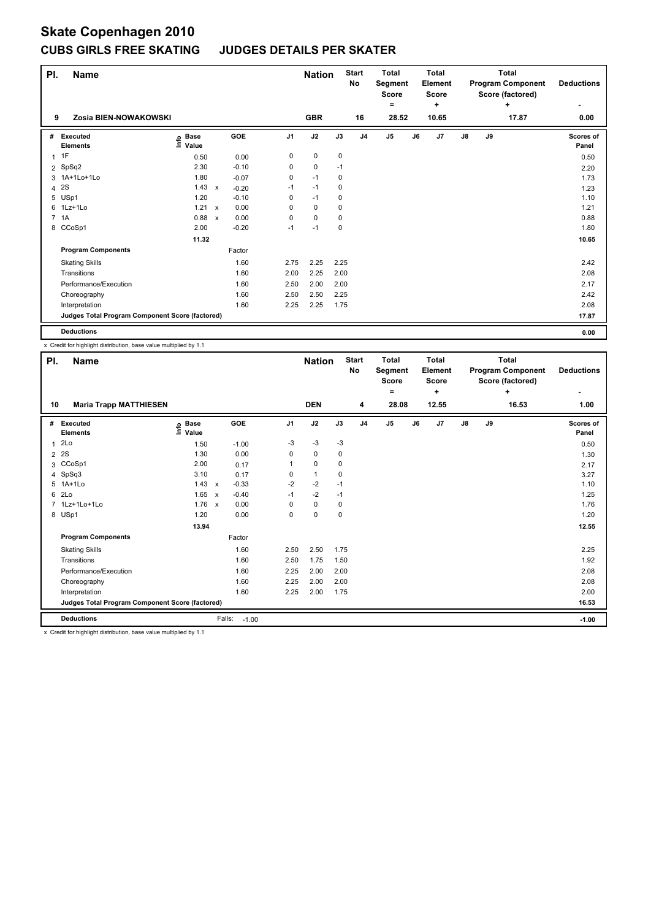### **CUBS GIRLS FREE SKATING JUDGES DETAILS PER SKATER**

| PI.            | <b>Name</b>                                     |                              |                           |         |                | <b>Nation</b> |             | <b>Start</b><br>No | <b>Total</b><br>Segment<br><b>Score</b> |    | <b>Total</b><br>Element<br><b>Score</b> |               |    | <b>Total</b><br><b>Program Component</b><br>Score (factored) | <b>Deductions</b>  |
|----------------|-------------------------------------------------|------------------------------|---------------------------|---------|----------------|---------------|-------------|--------------------|-----------------------------------------|----|-----------------------------------------|---------------|----|--------------------------------------------------------------|--------------------|
|                |                                                 |                              |                           |         |                |               |             |                    | ۰                                       |    | ÷                                       |               |    | ÷                                                            |                    |
| 9              | Zosia BIEN-NOWAKOWSKI                           |                              |                           |         |                | <b>GBR</b>    |             | 16                 | 28.52                                   |    | 10.65                                   |               |    | 17.87                                                        | 0.00               |
| #              | Executed<br><b>Elements</b>                     | <b>Base</b><br>١nfo<br>Value |                           | GOE     | J <sub>1</sub> | J2            | J3          | J <sub>4</sub>     | J <sub>5</sub>                          | J6 | J7                                      | $\mathsf{J}8$ | J9 |                                                              | Scores of<br>Panel |
| $\mathbf{1}$   | 1F                                              | 0.50                         |                           | 0.00    | 0              | $\mathbf 0$   | $\mathbf 0$ |                    |                                         |    |                                         |               |    |                                                              | 0.50               |
| $\overline{2}$ | SpSq2                                           | 2.30                         |                           | $-0.10$ | 0              | 0             | $-1$        |                    |                                         |    |                                         |               |    |                                                              | 2.20               |
|                | 3 1A+1Lo+1Lo                                    | 1.80                         |                           | $-0.07$ | 0              | $-1$          | 0           |                    |                                         |    |                                         |               |    |                                                              | 1.73               |
| 4              | 2S                                              | 1.43                         | $\mathbf{x}$              | $-0.20$ | $-1$           | $-1$          | 0           |                    |                                         |    |                                         |               |    |                                                              | 1.23               |
|                | 5 USp1                                          | 1.20                         |                           | $-0.10$ | 0              | $-1$          | 0           |                    |                                         |    |                                         |               |    |                                                              | 1.10               |
|                | 6 1Lz+1Lo                                       | 1.21                         | $\mathsf{x}$              | 0.00    | 0              | 0             | 0           |                    |                                         |    |                                         |               |    |                                                              | 1.21               |
|                | 7 1A                                            | 0.88                         | $\boldsymbol{\mathsf{x}}$ | 0.00    | 0              | $\mathbf 0$   | 0           |                    |                                         |    |                                         |               |    |                                                              | 0.88               |
|                | 8 CCoSp1                                        | 2.00                         |                           | $-0.20$ | $-1$           | $-1$          | 0           |                    |                                         |    |                                         |               |    |                                                              | 1.80               |
|                |                                                 | 11.32                        |                           |         |                |               |             |                    |                                         |    |                                         |               |    |                                                              | 10.65              |
|                | <b>Program Components</b>                       |                              |                           | Factor  |                |               |             |                    |                                         |    |                                         |               |    |                                                              |                    |
|                | <b>Skating Skills</b>                           |                              |                           | 1.60    | 2.75           | 2.25          | 2.25        |                    |                                         |    |                                         |               |    |                                                              | 2.42               |
|                | Transitions                                     |                              |                           | 1.60    | 2.00           | 2.25          | 2.00        |                    |                                         |    |                                         |               |    |                                                              | 2.08               |
|                | Performance/Execution                           |                              |                           | 1.60    | 2.50           | 2.00          | 2.00        |                    |                                         |    |                                         |               |    |                                                              | 2.17               |
|                | Choreography                                    |                              |                           | 1.60    | 2.50           | 2.50          | 2.25        |                    |                                         |    |                                         |               |    |                                                              | 2.42               |
|                | Interpretation                                  |                              |                           | 1.60    | 2.25           | 2.25          | 1.75        |                    |                                         |    |                                         |               |    |                                                              | 2.08               |
|                | Judges Total Program Component Score (factored) |                              |                           |         |                |               |             |                    |                                         |    |                                         |               |    |                                                              | 17.87              |
|                | <b>Deductions</b>                               |                              |                           |         |                |               |             |                    |                                         |    |                                         |               |    |                                                              | 0.00               |

x Credit for highlight distribution, base value multiplied by 1.1

| PI.          | <b>Name</b>                                                                                |                              |                   |                | <b>Nation</b> |      | <b>Start</b><br>No | <b>Total</b><br>Segment<br><b>Score</b><br>$=$ |    | <b>Total</b><br>Element<br><b>Score</b><br>٠ |               |    | <b>Total</b><br><b>Program Component</b><br>Score (factored)<br>٠ | <b>Deductions</b>  |
|--------------|--------------------------------------------------------------------------------------------|------------------------------|-------------------|----------------|---------------|------|--------------------|------------------------------------------------|----|----------------------------------------------|---------------|----|-------------------------------------------------------------------|--------------------|
| 10           | <b>Maria Trapp MATTHIESEN</b>                                                              |                              |                   |                | <b>DEN</b>    |      | 4                  | 28.08                                          |    | 12.55                                        |               |    | 16.53                                                             | -<br>1.00          |
| #            | Executed<br><b>Elements</b>                                                                | <b>Base</b><br>١nf٥<br>Value | GOE               | J <sub>1</sub> | J2            | J3   | J <sub>4</sub>     | J <sub>5</sub>                                 | J6 | J7                                           | $\mathsf{J}8$ | J9 |                                                                   | Scores of<br>Panel |
| $\mathbf{1}$ | 2Lo                                                                                        | 1.50                         | $-1.00$           | $-3$           | $-3$          | $-3$ |                    |                                                |    |                                              |               |    |                                                                   | 0.50               |
|              | 2 2 S                                                                                      | 1.30                         | 0.00              | 0              | 0             | 0    |                    |                                                |    |                                              |               |    |                                                                   | 1.30               |
| 3            | CCoSp1                                                                                     | 2.00                         | 0.17              |                | 0             | 0    |                    |                                                |    |                                              |               |    |                                                                   | 2.17               |
|              | 4 SpSq3                                                                                    | 3.10                         | 0.17              | 0              | $\mathbf{1}$  | 0    |                    |                                                |    |                                              |               |    |                                                                   | 3.27               |
|              | 5 1A+1Lo                                                                                   | $1.43 \times$                | $-0.33$           | $-2$           | $-2$          | $-1$ |                    |                                                |    |                                              |               |    |                                                                   | 1.10               |
|              | 6 2Lo                                                                                      | 1.65 x                       | $-0.40$           | $-1$           | $-2$          | $-1$ |                    |                                                |    |                                              |               |    |                                                                   | 1.25               |
|              | 7 1Lz+1Lo+1Lo                                                                              | $1.76 \times$                | 0.00              | 0              | $\mathbf 0$   | 0    |                    |                                                |    |                                              |               |    |                                                                   | 1.76               |
|              | 8 USp1                                                                                     | 1.20                         | 0.00              | 0              | $\mathbf 0$   | 0    |                    |                                                |    |                                              |               |    |                                                                   | 1.20               |
|              |                                                                                            | 13.94                        |                   |                |               |      |                    |                                                |    |                                              |               |    |                                                                   | 12.55              |
|              | <b>Program Components</b>                                                                  |                              | Factor            |                |               |      |                    |                                                |    |                                              |               |    |                                                                   |                    |
|              | <b>Skating Skills</b>                                                                      |                              | 1.60              | 2.50           | 2.50          | 1.75 |                    |                                                |    |                                              |               |    |                                                                   | 2.25               |
|              | Transitions                                                                                |                              | 1.60              | 2.50           | 1.75          | 1.50 |                    |                                                |    |                                              |               |    |                                                                   | 1.92               |
|              | Performance/Execution                                                                      |                              | 1.60              | 2.25           | 2.00          | 2.00 |                    |                                                |    |                                              |               |    |                                                                   | 2.08               |
|              | Choreography                                                                               |                              | 1.60              | 2.25           | 2.00          | 2.00 |                    |                                                |    |                                              |               |    |                                                                   | 2.08               |
|              | Interpretation                                                                             |                              | 1.60              | 2.25           | 2.00          | 1.75 |                    |                                                |    |                                              |               |    |                                                                   | 2.00               |
|              | Judges Total Program Component Score (factored)                                            |                              |                   |                |               |      |                    |                                                |    |                                              |               |    |                                                                   | 16.53              |
|              | <b>Deductions</b>                                                                          |                              | Falls:<br>$-1.00$ |                |               |      |                    |                                                |    |                                              |               |    |                                                                   | $-1.00$            |
|              | Consideration interest with attendance of the second control consideration of the state of |                              |                   |                |               |      |                    |                                                |    |                                              |               |    |                                                                   |                    |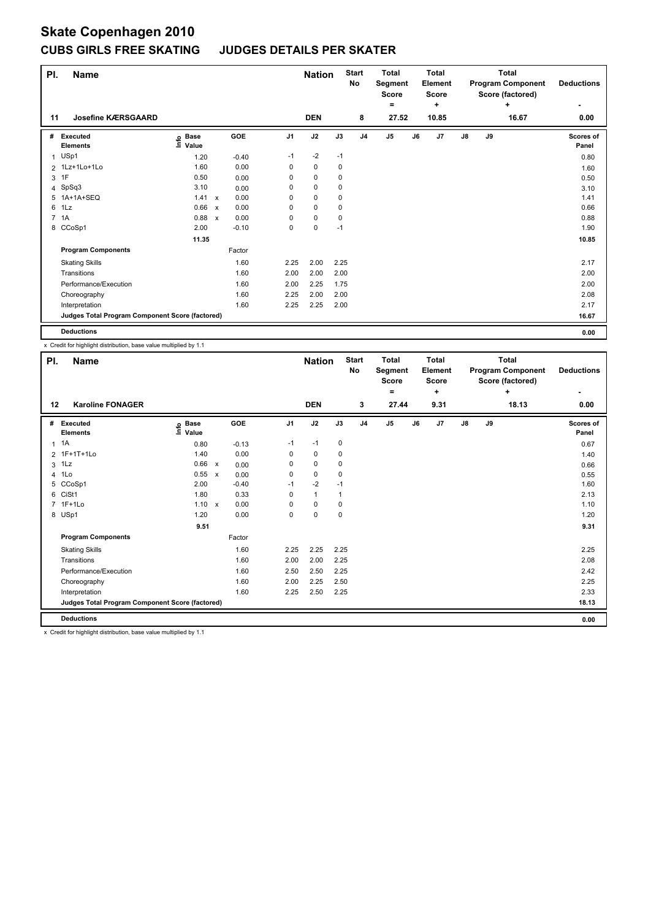### **CUBS GIRLS FREE SKATING JUDGES DETAILS PER SKATER**

| PI.          | <b>Name</b>                                     |                              |                           |         |                | <b>Nation</b> |      | <b>Start</b><br>No | <b>Total</b><br>Segment<br><b>Score</b> |    | Total<br>Element<br><b>Score</b> |               |    | <b>Total</b><br><b>Program Component</b><br>Score (factored) | <b>Deductions</b>  |
|--------------|-------------------------------------------------|------------------------------|---------------------------|---------|----------------|---------------|------|--------------------|-----------------------------------------|----|----------------------------------|---------------|----|--------------------------------------------------------------|--------------------|
| 11           | <b>Josefine KÆRSGAARD</b>                       |                              |                           |         |                | <b>DEN</b>    |      | 8                  | $=$<br>27.52                            |    | ÷<br>10.85                       |               |    | ÷<br>16.67                                                   | 0.00               |
|              |                                                 |                              |                           |         |                |               |      |                    |                                         |    |                                  |               |    |                                                              |                    |
| #            | Executed<br><b>Elements</b>                     | <b>Base</b><br>lnfo<br>Value |                           | GOE     | J <sub>1</sub> | J2            | J3   | J <sub>4</sub>     | J <sub>5</sub>                          | J6 | J7                               | $\mathsf{J}8$ | J9 |                                                              | Scores of<br>Panel |
| $\mathbf{1}$ | USp1                                            | 1.20                         |                           | $-0.40$ | $-1$           | $-2$          | $-1$ |                    |                                         |    |                                  |               |    |                                                              | 0.80               |
|              | 2 1Lz+1Lo+1Lo                                   | 1.60                         |                           | 0.00    | 0              | 0             | 0    |                    |                                         |    |                                  |               |    |                                                              | 1.60               |
| 3            | 1F                                              | 0.50                         |                           | 0.00    | 0              | $\mathbf 0$   | 0    |                    |                                         |    |                                  |               |    |                                                              | 0.50               |
|              | 4 SpSq3                                         | 3.10                         |                           | 0.00    | 0              | 0             | 0    |                    |                                         |    |                                  |               |    |                                                              | 3.10               |
| 5            | 1A+1A+SEQ                                       | 1.41                         | $\mathbf{x}$              | 0.00    | 0              | $\mathbf 0$   | 0    |                    |                                         |    |                                  |               |    |                                                              | 1.41               |
| 6            | 1Lz                                             | 0.66                         | $\boldsymbol{\mathsf{x}}$ | 0.00    | 0              | $\mathbf 0$   | 0    |                    |                                         |    |                                  |               |    |                                                              | 0.66               |
|              | 7 1A                                            | 0.88                         | $\boldsymbol{\mathsf{x}}$ | 0.00    | 0              | $\mathbf 0$   | 0    |                    |                                         |    |                                  |               |    |                                                              | 0.88               |
|              | 8 CCoSp1                                        | 2.00                         |                           | $-0.10$ | 0              | $\mathbf 0$   | $-1$ |                    |                                         |    |                                  |               |    |                                                              | 1.90               |
|              |                                                 | 11.35                        |                           |         |                |               |      |                    |                                         |    |                                  |               |    |                                                              | 10.85              |
|              | <b>Program Components</b>                       |                              |                           | Factor  |                |               |      |                    |                                         |    |                                  |               |    |                                                              |                    |
|              | <b>Skating Skills</b>                           |                              |                           | 1.60    | 2.25           | 2.00          | 2.25 |                    |                                         |    |                                  |               |    |                                                              | 2.17               |
|              | Transitions                                     |                              |                           | 1.60    | 2.00           | 2.00          | 2.00 |                    |                                         |    |                                  |               |    |                                                              | 2.00               |
|              | Performance/Execution                           |                              |                           | 1.60    | 2.00           | 2.25          | 1.75 |                    |                                         |    |                                  |               |    |                                                              | 2.00               |
|              | Choreography                                    |                              |                           | 1.60    | 2.25           | 2.00          | 2.00 |                    |                                         |    |                                  |               |    |                                                              | 2.08               |
|              | Interpretation                                  |                              |                           | 1.60    | 2.25           | 2.25          | 2.00 |                    |                                         |    |                                  |               |    |                                                              | 2.17               |
|              | Judges Total Program Component Score (factored) |                              |                           |         |                |               |      |                    |                                         |    |                                  |               |    |                                                              | 16.67              |
|              | <b>Deductions</b>                               |                              |                           |         |                |               |      |                    |                                         |    |                                  |               |    |                                                              | 0.00               |

x Credit for highlight distribution, base value multiplied by 1.1

| PI. | <b>Name</b>                                                         |                              |         |                | <b>Nation</b> |      | <b>Start</b><br><b>No</b> | <b>Total</b><br>Segment<br><b>Score</b> |    | <b>Total</b><br>Element<br><b>Score</b> |               |    | <b>Total</b><br><b>Program Component</b><br>Score (factored) | <b>Deductions</b>  |
|-----|---------------------------------------------------------------------|------------------------------|---------|----------------|---------------|------|---------------------------|-----------------------------------------|----|-----------------------------------------|---------------|----|--------------------------------------------------------------|--------------------|
|     |                                                                     |                              |         |                |               |      |                           | ۰                                       |    | ٠                                       |               |    | ÷                                                            | ٠                  |
| 12  | <b>Karoline FONAGER</b>                                             |                              |         |                | <b>DEN</b>    |      | 3                         | 27.44                                   |    | 9.31                                    |               |    | 18.13                                                        | 0.00               |
| #   | Executed<br><b>Elements</b>                                         | <b>Base</b><br>١nf٥<br>Value | GOE     | J <sub>1</sub> | J2            | J3   | J <sub>4</sub>            | J <sub>5</sub>                          | J6 | J7                                      | $\mathsf{J}8$ | J9 |                                                              | Scores of<br>Panel |
|     | $1 \t1A$                                                            | 0.80                         | $-0.13$ | $-1$           | $-1$          | 0    |                           |                                         |    |                                         |               |    |                                                              | 0.67               |
|     | 2 1F+1T+1Lo                                                         | 1.40                         | 0.00    | 0              | 0             | 0    |                           |                                         |    |                                         |               |    |                                                              | 1.40               |
|     | $3$ 1 Lz                                                            | 0.66 x                       | 0.00    | 0              | 0             | 0    |                           |                                         |    |                                         |               |    |                                                              | 0.66               |
|     | 4 1Lo                                                               | 0.55 x                       | 0.00    | 0              | $\mathbf 0$   | 0    |                           |                                         |    |                                         |               |    |                                                              | 0.55               |
|     | 5 CCoSp1                                                            | 2.00                         | $-0.40$ | $-1$           | $-2$          | $-1$ |                           |                                         |    |                                         |               |    |                                                              | 1.60               |
| 6   | CiSt1                                                               | 1.80                         | 0.33    | 0              | $\mathbf{1}$  |      |                           |                                         |    |                                         |               |    |                                                              | 2.13               |
|     | 7 1F+1Lo                                                            | 1.10 x                       | 0.00    | 0              | 0             | 0    |                           |                                         |    |                                         |               |    |                                                              | 1.10               |
|     | 8 USp1                                                              | 1.20                         | 0.00    | 0              | $\mathbf 0$   | 0    |                           |                                         |    |                                         |               |    |                                                              | 1.20               |
|     |                                                                     | 9.51                         |         |                |               |      |                           |                                         |    |                                         |               |    |                                                              | 9.31               |
|     | <b>Program Components</b>                                           |                              | Factor  |                |               |      |                           |                                         |    |                                         |               |    |                                                              |                    |
|     | <b>Skating Skills</b>                                               |                              | 1.60    | 2.25           | 2.25          | 2.25 |                           |                                         |    |                                         |               |    |                                                              | 2.25               |
|     | Transitions                                                         |                              | 1.60    | 2.00           | 2.00          | 2.25 |                           |                                         |    |                                         |               |    |                                                              | 2.08               |
|     | Performance/Execution                                               |                              | 1.60    | 2.50           | 2.50          | 2.25 |                           |                                         |    |                                         |               |    |                                                              | 2.42               |
|     | Choreography                                                        |                              | 1.60    | 2.00           | 2.25          | 2.50 |                           |                                         |    |                                         |               |    |                                                              | 2.25               |
|     | Interpretation                                                      |                              | 1.60    | 2.25           | 2.50          | 2.25 |                           |                                         |    |                                         |               |    |                                                              | 2.33               |
|     | Judges Total Program Component Score (factored)                     |                              |         |                |               |      |                           |                                         |    |                                         |               |    |                                                              | 18.13              |
|     | <b>Deductions</b>                                                   |                              |         |                |               |      |                           |                                         |    |                                         |               |    |                                                              | 0.00               |
|     | v. Crodit for bigblight digtribution, base value multiplied by 1.1. |                              |         |                |               |      |                           |                                         |    |                                         |               |    |                                                              |                    |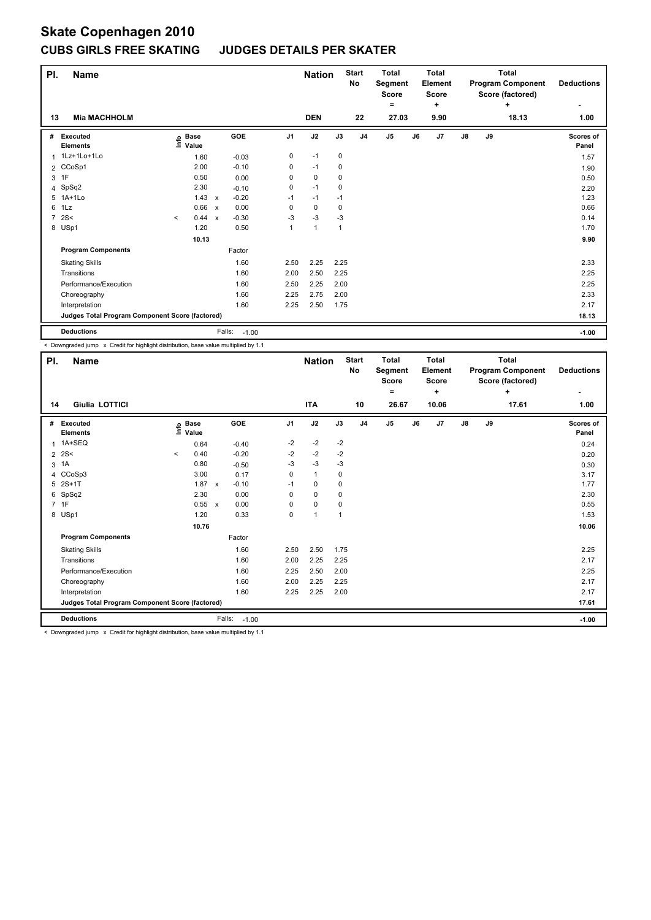### **CUBS GIRLS FREE SKATING JUDGES DETAILS PER SKATER**

| PI.          | <b>Name</b>                                     |         |                      |                           |                   |                | <b>Nation</b>  |              | <b>Start</b><br>No | <b>Total</b><br>Segment<br><b>Score</b> |    | <b>Total</b><br>Element<br>Score |    |    | <b>Total</b><br><b>Program Component</b><br>Score (factored) | <b>Deductions</b>         |
|--------------|-------------------------------------------------|---------|----------------------|---------------------------|-------------------|----------------|----------------|--------------|--------------------|-----------------------------------------|----|----------------------------------|----|----|--------------------------------------------------------------|---------------------------|
| 13           | <b>Mia MACHHOLM</b>                             |         |                      |                           |                   |                | <b>DEN</b>     |              | 22                 | =<br>27.03                              |    | ÷<br>9.90                        |    |    | ÷<br>18.13                                                   | ٠<br>1.00                 |
|              |                                                 |         |                      |                           |                   |                |                |              |                    |                                         |    |                                  |    |    |                                                              |                           |
| #            | Executed<br><b>Elements</b>                     | lnfo    | <b>Base</b><br>Value |                           | GOE               | J <sub>1</sub> | J2             | J3           | J <sub>4</sub>     | J <sub>5</sub>                          | J6 | J7                               | J8 | J9 |                                                              | <b>Scores of</b><br>Panel |
| $\mathbf{1}$ | 1Lz+1Lo+1Lo                                     |         | 1.60                 |                           | $-0.03$           | 0              | $-1$           | 0            |                    |                                         |    |                                  |    |    |                                                              | 1.57                      |
|              | 2 CCoSp1                                        |         | 2.00                 |                           | $-0.10$           | 0              | $-1$           | 0            |                    |                                         |    |                                  |    |    |                                                              | 1.90                      |
| 3            | 1F                                              |         | 0.50                 |                           | 0.00              | 0              | $\mathbf 0$    | 0            |                    |                                         |    |                                  |    |    |                                                              | 0.50                      |
|              | 4 SpSq2                                         |         | 2.30                 |                           | $-0.10$           | 0              | $-1$           | 0            |                    |                                         |    |                                  |    |    |                                                              | 2.20                      |
| 5            | $1A+1Lo$                                        |         | 1.43                 | $\pmb{\chi}$              | $-0.20$           | $-1$           | $-1$           | $-1$         |                    |                                         |    |                                  |    |    |                                                              | 1.23                      |
| 6            | 1Lz                                             |         | 0.66                 | $\mathbf{x}$              | 0.00              | 0              | $\mathbf 0$    | 0            |                    |                                         |    |                                  |    |    |                                                              | 0.66                      |
|              | 72S<                                            | $\prec$ | 0.44                 | $\boldsymbol{\mathsf{x}}$ | $-0.30$           | $-3$           | $-3$           | -3           |                    |                                         |    |                                  |    |    |                                                              | 0.14                      |
|              | 8 USp1                                          |         | 1.20                 |                           | 0.50              | 1              | $\overline{1}$ | $\mathbf{1}$ |                    |                                         |    |                                  |    |    |                                                              | 1.70                      |
|              |                                                 |         | 10.13                |                           |                   |                |                |              |                    |                                         |    |                                  |    |    |                                                              | 9.90                      |
|              | <b>Program Components</b>                       |         |                      |                           | Factor            |                |                |              |                    |                                         |    |                                  |    |    |                                                              |                           |
|              | <b>Skating Skills</b>                           |         |                      |                           | 1.60              | 2.50           | 2.25           | 2.25         |                    |                                         |    |                                  |    |    |                                                              | 2.33                      |
|              | Transitions                                     |         |                      |                           | 1.60              | 2.00           | 2.50           | 2.25         |                    |                                         |    |                                  |    |    |                                                              | 2.25                      |
|              | Performance/Execution                           |         |                      |                           | 1.60              | 2.50           | 2.25           | 2.00         |                    |                                         |    |                                  |    |    |                                                              | 2.25                      |
|              | Choreography                                    |         |                      |                           | 1.60              | 2.25           | 2.75           | 2.00         |                    |                                         |    |                                  |    |    |                                                              | 2.33                      |
|              | Interpretation                                  |         |                      |                           | 1.60              | 2.25           | 2.50           | 1.75         |                    |                                         |    |                                  |    |    |                                                              | 2.17                      |
|              | Judges Total Program Component Score (factored) |         |                      |                           |                   |                |                |              |                    |                                         |    |                                  |    |    |                                                              | 18.13                     |
|              | <b>Deductions</b>                               |         |                      |                           | Falls:<br>$-1.00$ |                |                |              |                    |                                         |    |                                  |    |    |                                                              | $-1.00$                   |

< Downgraded jump x Credit for highlight distribution, base value multiplied by 1.1

| PI. | <b>Name</b>                                                                               |         |                            |                           |            |                | <b>Nation</b> |      | <b>Start</b><br>No | <b>Total</b><br>Segment<br><b>Score</b> |    | <b>Total</b><br>Element<br><b>Score</b> |               |    | <b>Total</b><br><b>Program Component</b><br>Score (factored) | <b>Deductions</b>  |
|-----|-------------------------------------------------------------------------------------------|---------|----------------------------|---------------------------|------------|----------------|---------------|------|--------------------|-----------------------------------------|----|-----------------------------------------|---------------|----|--------------------------------------------------------------|--------------------|
|     |                                                                                           |         |                            |                           |            |                |               |      |                    | =                                       |    | ٠                                       |               |    | ÷                                                            |                    |
| 14  | Giulia LOTTICI                                                                            |         |                            |                           |            |                | <b>ITA</b>    |      | 10                 | 26.67                                   |    | 10.06                                   |               |    | 17.61                                                        | 1.00               |
| #   | Executed<br><b>Elements</b>                                                               |         | e Base<br>E Value<br>Value |                           | <b>GOE</b> | J <sub>1</sub> | J2            | J3   | J <sub>4</sub>     | J <sub>5</sub>                          | J6 | J7                                      | $\mathsf{J}8$ | J9 |                                                              | Scores of<br>Panel |
| 1   | 1A+SEQ                                                                                    |         | 0.64                       |                           | $-0.40$    | $-2$           | $-2$          | $-2$ |                    |                                         |    |                                         |               |    |                                                              | 0.24               |
|     | $2 \, 2S$                                                                                 | $\prec$ | 0.40                       |                           | $-0.20$    | $-2$           | $-2$          | $-2$ |                    |                                         |    |                                         |               |    |                                                              | 0.20               |
| 3   | 1A                                                                                        |         | 0.80                       |                           | $-0.50$    | $-3$           | $-3$          | $-3$ |                    |                                         |    |                                         |               |    |                                                              | 0.30               |
|     | 4 CCoSp3                                                                                  |         | 3.00                       |                           | 0.17       | 0              | $\mathbf{1}$  | 0    |                    |                                         |    |                                         |               |    |                                                              | 3.17               |
|     | 5 2S+1T                                                                                   |         | 1.87                       | $\boldsymbol{\mathsf{x}}$ | $-0.10$    | $-1$           | 0             | 0    |                    |                                         |    |                                         |               |    |                                                              | 1.77               |
| 6   | SpSq2                                                                                     |         | 2.30                       |                           | 0.00       | 0              | $\pmb{0}$     | 0    |                    |                                         |    |                                         |               |    |                                                              | 2.30               |
|     | 7 1F                                                                                      |         | 0.55 x                     |                           | 0.00       | 0              | $\mathbf 0$   | 0    |                    |                                         |    |                                         |               |    |                                                              | 0.55               |
|     | 8 USp1                                                                                    |         | 1.20                       |                           | 0.33       | 0              | $\mathbf{1}$  | 1    |                    |                                         |    |                                         |               |    |                                                              | 1.53               |
|     |                                                                                           |         | 10.76                      |                           |            |                |               |      |                    |                                         |    |                                         |               |    |                                                              | 10.06              |
|     | <b>Program Components</b>                                                                 |         |                            |                           | Factor     |                |               |      |                    |                                         |    |                                         |               |    |                                                              |                    |
|     | <b>Skating Skills</b>                                                                     |         |                            |                           | 1.60       | 2.50           | 2.50          | 1.75 |                    |                                         |    |                                         |               |    |                                                              | 2.25               |
|     | Transitions                                                                               |         |                            |                           | 1.60       | 2.00           | 2.25          | 2.25 |                    |                                         |    |                                         |               |    |                                                              | 2.17               |
|     | Performance/Execution                                                                     |         |                            |                           | 1.60       | 2.25           | 2.50          | 2.00 |                    |                                         |    |                                         |               |    |                                                              | 2.25               |
|     | Choreography                                                                              |         |                            |                           | 1.60       | 2.00           | 2.25          | 2.25 |                    |                                         |    |                                         |               |    |                                                              | 2.17               |
|     | Interpretation                                                                            |         |                            |                           | 1.60       | 2.25           | 2.25          | 2.00 |                    |                                         |    |                                         |               |    |                                                              | 2.17               |
|     | Judges Total Program Component Score (factored)                                           |         |                            |                           |            |                |               |      |                    |                                         |    |                                         |               |    |                                                              | 17.61              |
|     | <b>Deductions</b>                                                                         |         |                            | Falls:                    | $-1.00$    |                |               |      |                    |                                         |    |                                         |               |    |                                                              | $-1.00$            |
|     | . Doumanaded is more, as Credit for bighlight distribution, boos uplus multiplied by 4.4. |         |                            |                           |            |                |               |      |                    |                                         |    |                                         |               |    |                                                              |                    |

< Downgraded jump x Credit for highlight distribution, base value multiplied by 1.1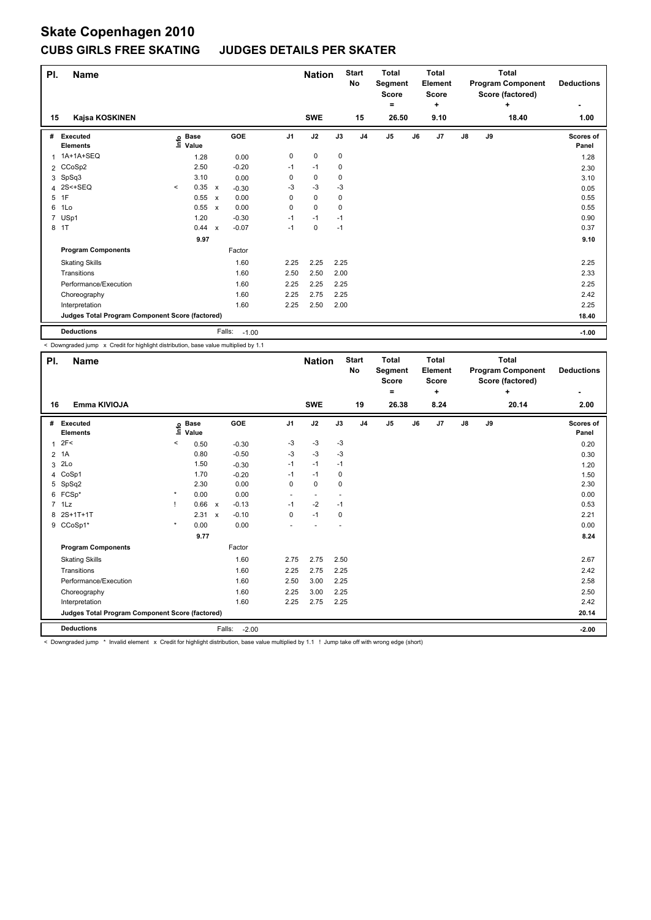### **CUBS GIRLS FREE SKATING JUDGES DETAILS PER SKATER**

| PI.            | <b>Name</b>                                     |         |                      |                           |         |                | <b>Nation</b> |      | <b>Start</b><br>No | <b>Total</b><br>Segment<br><b>Score</b><br>۰ |    | Total<br>Element<br><b>Score</b><br>÷ |               |    | <b>Total</b><br><b>Program Component</b><br>Score (factored)<br>÷ | <b>Deductions</b>  |
|----------------|-------------------------------------------------|---------|----------------------|---------------------------|---------|----------------|---------------|------|--------------------|----------------------------------------------|----|---------------------------------------|---------------|----|-------------------------------------------------------------------|--------------------|
| 15             | Kajsa KOSKINEN                                  |         |                      |                           |         |                | <b>SWE</b>    |      | 15                 | 26.50                                        |    | 9.10                                  |               |    | 18.40                                                             | 1.00               |
| #              | Executed<br><b>Elements</b>                     | lnfo    | <b>Base</b><br>Value |                           | GOE     | J <sub>1</sub> | J2            | J3   | J <sub>4</sub>     | J <sub>5</sub>                               | J6 | J7                                    | $\mathsf{J}8$ | J9 |                                                                   | Scores of<br>Panel |
| 1              | 1A+1A+SEQ                                       |         | 1.28                 |                           | 0.00    | 0              | $\mathbf 0$   | 0    |                    |                                              |    |                                       |               |    |                                                                   | 1.28               |
| $\overline{2}$ | CCoSp2                                          |         | 2.50                 |                           | $-0.20$ | $-1$           | $-1$          | 0    |                    |                                              |    |                                       |               |    |                                                                   | 2.30               |
| 3              | SpSq3                                           |         | 3.10                 |                           | 0.00    | 0              | $\mathbf 0$   | 0    |                    |                                              |    |                                       |               |    |                                                                   | 3.10               |
|                | 4 2S<+SEQ                                       | $\prec$ | 0.35                 | $\boldsymbol{\mathsf{x}}$ | $-0.30$ | -3             | $-3$          | -3   |                    |                                              |    |                                       |               |    |                                                                   | 0.05               |
| 5              | 1F                                              |         | 0.55                 | $\boldsymbol{\mathsf{x}}$ | 0.00    | 0              | 0             | 0    |                    |                                              |    |                                       |               |    |                                                                   | 0.55               |
| 6              | 1Lo                                             |         | 0.55                 | $\mathsf{x}$              | 0.00    | 0              | $\mathbf 0$   | 0    |                    |                                              |    |                                       |               |    |                                                                   | 0.55               |
| $\overline{7}$ | USp1                                            |         | 1.20                 |                           | $-0.30$ | $-1$           | $-1$          | $-1$ |                    |                                              |    |                                       |               |    |                                                                   | 0.90               |
|                | 8 1T                                            |         | 0.44                 | $\boldsymbol{\mathsf{x}}$ | $-0.07$ | $-1$           | $\mathbf 0$   | $-1$ |                    |                                              |    |                                       |               |    |                                                                   | 0.37               |
|                |                                                 |         | 9.97                 |                           |         |                |               |      |                    |                                              |    |                                       |               |    |                                                                   | 9.10               |
|                | <b>Program Components</b>                       |         |                      |                           | Factor  |                |               |      |                    |                                              |    |                                       |               |    |                                                                   |                    |
|                | <b>Skating Skills</b>                           |         |                      |                           | 1.60    | 2.25           | 2.25          | 2.25 |                    |                                              |    |                                       |               |    |                                                                   | 2.25               |
|                | Transitions                                     |         |                      |                           | 1.60    | 2.50           | 2.50          | 2.00 |                    |                                              |    |                                       |               |    |                                                                   | 2.33               |
|                | Performance/Execution                           |         |                      |                           | 1.60    | 2.25           | 2.25          | 2.25 |                    |                                              |    |                                       |               |    |                                                                   | 2.25               |
|                | Choreography                                    |         |                      |                           | 1.60    | 2.25           | 2.75          | 2.25 |                    |                                              |    |                                       |               |    |                                                                   | 2.42               |
|                | Interpretation                                  |         |                      |                           | 1.60    | 2.25           | 2.50          | 2.00 |                    |                                              |    |                                       |               |    |                                                                   | 2.25               |
|                | Judges Total Program Component Score (factored) |         |                      |                           |         |                |               |      |                    |                                              |    |                                       |               |    |                                                                   | 18.40              |
|                | <b>Deductions</b>                               |         |                      | Falls:                    | $-1.00$ |                |               |      |                    |                                              |    |                                       |               |    |                                                                   | $-1.00$            |

< Downgraded jump x Credit for highlight distribution, base value multiplied by 1.1

| PI.          | <b>Name</b>                                     |         |                            |        |            |                | <b>Nation</b>            |      | <b>Start</b><br>No | <b>Total</b><br>Segment<br>Score |    | <b>Total</b><br>Element<br><b>Score</b> |               |    | <b>Total</b><br><b>Program Component</b><br>Score (factored) | <b>Deductions</b>  |
|--------------|-------------------------------------------------|---------|----------------------------|--------|------------|----------------|--------------------------|------|--------------------|----------------------------------|----|-----------------------------------------|---------------|----|--------------------------------------------------------------|--------------------|
| 16           | Emma KIVIOJA                                    |         |                            |        |            |                | <b>SWE</b>               |      | 19                 | ۰<br>26.38                       |    | ÷<br>8.24                               |               |    | ÷<br>20.14                                                   | 2.00               |
|              |                                                 |         |                            |        |            |                |                          |      |                    |                                  |    |                                         |               |    |                                                              |                    |
| #            | Executed<br><b>Elements</b>                     |         | e Base<br>E Value<br>Value |        | <b>GOE</b> | J <sub>1</sub> | J2                       | J3   | J <sub>4</sub>     | J <sub>5</sub>                   | J6 | J7                                      | $\mathsf{J}8$ | J9 |                                                              | Scores of<br>Panel |
| $\mathbf{1}$ | 2F<                                             | <       | 0.50                       |        | $-0.30$    | -3             | -3                       | -3   |                    |                                  |    |                                         |               |    |                                                              | 0.20               |
|              | 2 1A                                            |         | 0.80                       |        | $-0.50$    | $-3$           | $-3$                     | $-3$ |                    |                                  |    |                                         |               |    |                                                              | 0.30               |
| 3            | 2Lo                                             |         | 1.50                       |        | $-0.30$    | $-1$           | $-1$                     | $-1$ |                    |                                  |    |                                         |               |    |                                                              | 1.20               |
| 4            | CoSp1                                           |         | 1.70                       |        | $-0.20$    | $-1$           | $-1$                     | 0    |                    |                                  |    |                                         |               |    |                                                              | 1.50               |
| 5            | SpSq2                                           |         | 2.30                       |        | 0.00       | 0              | $\mathbf 0$              | 0    |                    |                                  |    |                                         |               |    |                                                              | 2.30               |
| 6            | FCSp*                                           | $\star$ | 0.00                       |        | 0.00       | ٠              | $\overline{\phantom{a}}$ |      |                    |                                  |    |                                         |               |    |                                                              | 0.00               |
|              | $7$ 1 Lz                                        |         | 0.66 x                     |        | $-0.13$    | $-1$           | $-2$                     | $-1$ |                    |                                  |    |                                         |               |    |                                                              | 0.53               |
| 8            | 2S+1T+1T                                        |         | 2.31 x                     |        | $-0.10$    | 0              | $-1$                     | 0    |                    |                                  |    |                                         |               |    |                                                              | 2.21               |
| 9            | CCoSp1*                                         | $\star$ | 0.00                       |        | 0.00       |                |                          |      |                    |                                  |    |                                         |               |    |                                                              | 0.00               |
|              |                                                 |         | 9.77                       |        |            |                |                          |      |                    |                                  |    |                                         |               |    |                                                              | 8.24               |
|              | <b>Program Components</b>                       |         |                            |        | Factor     |                |                          |      |                    |                                  |    |                                         |               |    |                                                              |                    |
|              | <b>Skating Skills</b>                           |         |                            |        | 1.60       | 2.75           | 2.75                     | 2.50 |                    |                                  |    |                                         |               |    |                                                              | 2.67               |
|              | Transitions                                     |         |                            |        | 1.60       | 2.25           | 2.75                     | 2.25 |                    |                                  |    |                                         |               |    |                                                              | 2.42               |
|              | Performance/Execution                           |         |                            |        | 1.60       | 2.50           | 3.00                     | 2.25 |                    |                                  |    |                                         |               |    |                                                              | 2.58               |
|              | Choreography                                    |         |                            |        | 1.60       | 2.25           | 3.00                     | 2.25 |                    |                                  |    |                                         |               |    |                                                              | 2.50               |
|              | Interpretation                                  |         |                            |        | 1.60       | 2.25           | 2.75                     | 2.25 |                    |                                  |    |                                         |               |    |                                                              | 2.42               |
|              | Judges Total Program Component Score (factored) |         |                            |        |            |                |                          |      |                    |                                  |    |                                         |               |    |                                                              | 20.14              |
|              | <b>Deductions</b>                               |         |                            | Falls: | $-2.00$    |                |                          |      |                    |                                  |    |                                         |               |    |                                                              | $-2.00$            |

< Downgraded jump \* Invalid element x Credit for highlight distribution, base value multiplied by 1.1 ! Jump take off with wrong edge (short)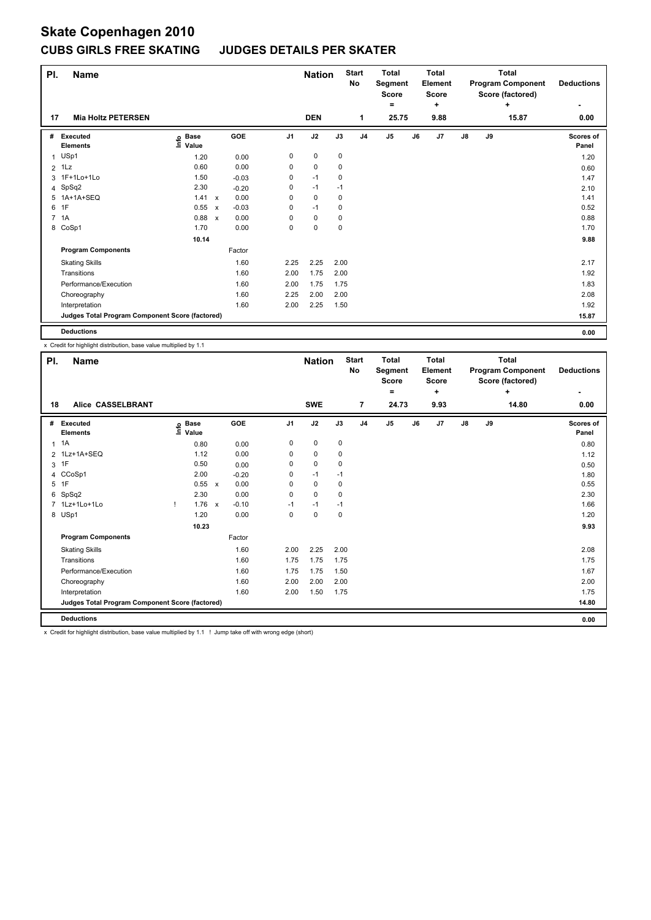#### **JUDGES DETAILS PER SKATER**

| PI.            | <b>Name</b>                                     |                              |                           |         |                | <b>Nation</b> |      | <b>Start</b><br>No | <b>Total</b><br>Segment<br>Score |    | <b>Total</b><br>Element<br><b>Score</b> |               |    | <b>Total</b><br><b>Program Component</b><br>Score (factored) | <b>Deductions</b>  |
|----------------|-------------------------------------------------|------------------------------|---------------------------|---------|----------------|---------------|------|--------------------|----------------------------------|----|-----------------------------------------|---------------|----|--------------------------------------------------------------|--------------------|
|                |                                                 |                              |                           |         |                |               |      |                    | ۰                                |    | ÷                                       |               |    | ÷                                                            | ٠                  |
| 17             | <b>Mia Holtz PETERSEN</b>                       |                              |                           |         |                | <b>DEN</b>    |      | 1                  | 25.75                            |    | 9.88                                    |               |    | 15.87                                                        | 0.00               |
| #              | Executed<br><b>Elements</b>                     | <b>Base</b><br>lnfo<br>Value |                           | GOE     | J <sub>1</sub> | J2            | J3   | J <sub>4</sub>     | J <sub>5</sub>                   | J6 | J7                                      | $\mathsf{J}8$ | J9 |                                                              | Scores of<br>Panel |
| $\mathbf{1}$   | USp1                                            | 1.20                         |                           | 0.00    | 0              | 0             | 0    |                    |                                  |    |                                         |               |    |                                                              | 1.20               |
| $\overline{2}$ | 1Lz                                             | 0.60                         |                           | 0.00    | 0              | $\mathbf 0$   | 0    |                    |                                  |    |                                         |               |    |                                                              | 0.60               |
|                | 3 1F+1Lo+1Lo                                    | 1.50                         |                           | $-0.03$ | 0              | $-1$          | 0    |                    |                                  |    |                                         |               |    |                                                              | 1.47               |
|                | 4 SpSq2                                         | 2.30                         |                           | $-0.20$ | 0              | $-1$          | $-1$ |                    |                                  |    |                                         |               |    |                                                              | 2.10               |
| 5              | 1A+1A+SEQ                                       | 1.41                         | $\mathsf{x}$              | 0.00    | 0              | $\mathbf 0$   | 0    |                    |                                  |    |                                         |               |    |                                                              | 1.41               |
| 6              | 1F                                              | 0.55                         | $\boldsymbol{\mathsf{x}}$ | $-0.03$ | 0              | $-1$          | 0    |                    |                                  |    |                                         |               |    |                                                              | 0.52               |
|                | 7 1A                                            | 0.88                         | $\boldsymbol{\mathsf{x}}$ | 0.00    | 0              | $\mathbf 0$   | 0    |                    |                                  |    |                                         |               |    |                                                              | 0.88               |
|                | 8 CoSp1                                         | 1.70                         |                           | 0.00    | 0              | $\mathbf 0$   | 0    |                    |                                  |    |                                         |               |    |                                                              | 1.70               |
|                |                                                 | 10.14                        |                           |         |                |               |      |                    |                                  |    |                                         |               |    |                                                              | 9.88               |
|                | <b>Program Components</b>                       |                              |                           | Factor  |                |               |      |                    |                                  |    |                                         |               |    |                                                              |                    |
|                | <b>Skating Skills</b>                           |                              |                           | 1.60    | 2.25           | 2.25          | 2.00 |                    |                                  |    |                                         |               |    |                                                              | 2.17               |
|                | Transitions                                     |                              |                           | 1.60    | 2.00           | 1.75          | 2.00 |                    |                                  |    |                                         |               |    |                                                              | 1.92               |
|                | Performance/Execution                           |                              |                           | 1.60    | 2.00           | 1.75          | 1.75 |                    |                                  |    |                                         |               |    |                                                              | 1.83               |
|                | Choreography                                    |                              |                           | 1.60    | 2.25           | 2.00          | 2.00 |                    |                                  |    |                                         |               |    |                                                              | 2.08               |
|                | Interpretation                                  |                              |                           | 1.60    | 2.00           | 2.25          | 1.50 |                    |                                  |    |                                         |               |    |                                                              | 1.92               |
|                | Judges Total Program Component Score (factored) |                              |                           |         |                |               |      |                    |                                  |    |                                         |               |    |                                                              | 15.87              |
|                | <b>Deductions</b>                               |                              |                           |         |                |               |      |                    |                                  |    |                                         |               |    |                                                              | 0.00               |

x Credit for highlight distribution, base value multiplied by 1.1

| PI. | <b>Name</b>                                     |      |                      |         |                | <b>Nation</b> |      | <b>Start</b><br>No | <b>Total</b><br>Segment<br><b>Score</b> |    | Total<br>Element<br><b>Score</b> |    |    | <b>Total</b><br><b>Program Component</b><br>Score (factored) | <b>Deductions</b>         |
|-----|-------------------------------------------------|------|----------------------|---------|----------------|---------------|------|--------------------|-----------------------------------------|----|----------------------------------|----|----|--------------------------------------------------------------|---------------------------|
|     |                                                 |      |                      |         |                |               |      |                    | $=$                                     |    | ÷                                |    |    | ÷                                                            |                           |
| 18  | Alice CASSELBRANT                               |      |                      |         |                | <b>SWE</b>    |      | $\overline{7}$     | 24.73                                   |    | 9.93                             |    |    | 14.80                                                        | 0.00                      |
| #   | Executed<br><b>Elements</b>                     | ١nto | <b>Base</b><br>Value | GOE     | J <sub>1</sub> | J2            | J3   | J <sub>4</sub>     | J5                                      | J6 | J7                               | J8 | J9 |                                                              | <b>Scores of</b><br>Panel |
| 1   | 1A                                              |      | 0.80                 | 0.00    | 0              | 0             | 0    |                    |                                         |    |                                  |    |    |                                                              | 0.80                      |
|     | 2 1Lz+1A+SEQ                                    |      | 1.12                 | 0.00    | $\Omega$       | 0             | 0    |                    |                                         |    |                                  |    |    |                                                              | 1.12                      |
| 3   | 1F                                              |      | 0.50                 | 0.00    | 0              | 0             | 0    |                    |                                         |    |                                  |    |    |                                                              | 0.50                      |
|     | 4 CCoSp1                                        |      | 2.00                 | $-0.20$ | 0              | $-1$          | $-1$ |                    |                                         |    |                                  |    |    |                                                              | 1.80                      |
|     | 5 1F                                            |      | 0.55 x               | 0.00    | 0              | 0             | 0    |                    |                                         |    |                                  |    |    |                                                              | 0.55                      |
| 6   | SpSq2                                           |      | 2.30                 | 0.00    | 0              | 0             | 0    |                    |                                         |    |                                  |    |    |                                                              | 2.30                      |
|     | 7 1Lz+1Lo+1Lo                                   | Ţ.   | $1.76 \times$        | $-0.10$ | $-1$           | $-1$          | $-1$ |                    |                                         |    |                                  |    |    |                                                              | 1.66                      |
|     | 8 USp1                                          |      | 1.20                 | 0.00    | 0              | 0             | 0    |                    |                                         |    |                                  |    |    |                                                              | 1.20                      |
|     |                                                 |      | 10.23                |         |                |               |      |                    |                                         |    |                                  |    |    |                                                              | 9.93                      |
|     | <b>Program Components</b>                       |      |                      | Factor  |                |               |      |                    |                                         |    |                                  |    |    |                                                              |                           |
|     | <b>Skating Skills</b>                           |      |                      | 1.60    | 2.00           | 2.25          | 2.00 |                    |                                         |    |                                  |    |    |                                                              | 2.08                      |
|     | Transitions                                     |      |                      | 1.60    | 1.75           | 1.75          | 1.75 |                    |                                         |    |                                  |    |    |                                                              | 1.75                      |
|     | Performance/Execution                           |      |                      | 1.60    | 1.75           | 1.75          | 1.50 |                    |                                         |    |                                  |    |    |                                                              | 1.67                      |
|     | Choreography                                    |      |                      | 1.60    | 2.00           | 2.00          | 2.00 |                    |                                         |    |                                  |    |    |                                                              | 2.00                      |
|     | Interpretation                                  |      |                      | 1.60    | 2.00           | 1.50          | 1.75 |                    |                                         |    |                                  |    |    |                                                              | 1.75                      |
|     | Judges Total Program Component Score (factored) |      |                      |         |                |               |      |                    |                                         |    |                                  |    |    |                                                              | 14.80                     |
|     | <b>Deductions</b>                               |      |                      |         |                |               |      |                    |                                         |    |                                  |    |    |                                                              | 0.00                      |

x Credit for highlight distribution, base value multiplied by 1.1 ! Jump take off with wrong edge (short)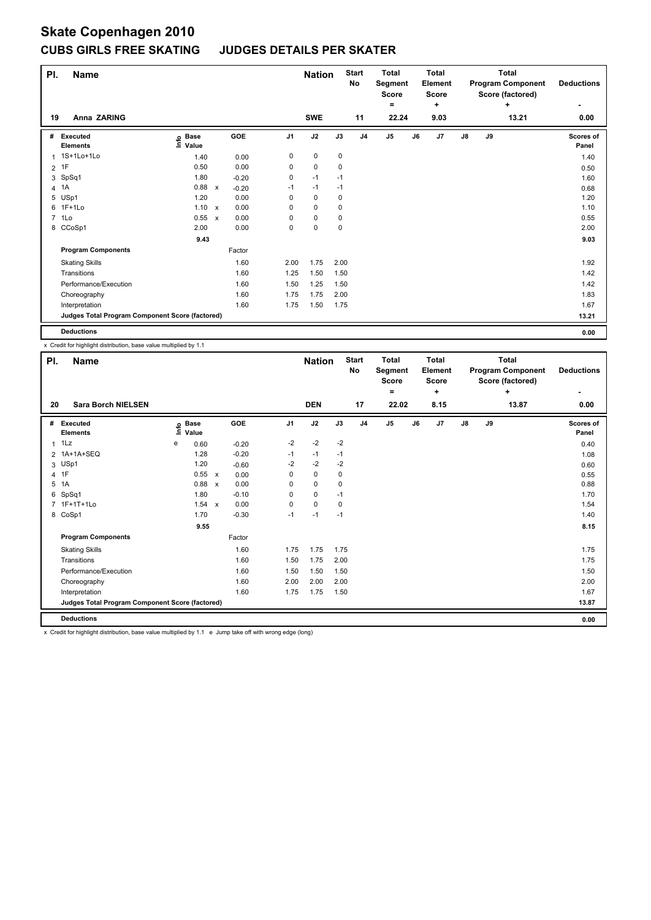### **CUBS GIRLS FREE SKATING JUDGES DETAILS PER SKATER**

| PI.            | Name                                            |                                  |                           |         |                | <b>Nation</b> |      | <b>Start</b><br>No | <b>Total</b><br>Segment<br><b>Score</b> |    | <b>Total</b><br>Element<br><b>Score</b> |               |    | <b>Total</b><br><b>Program Component</b><br>Score (factored) | <b>Deductions</b>  |
|----------------|-------------------------------------------------|----------------------------------|---------------------------|---------|----------------|---------------|------|--------------------|-----------------------------------------|----|-----------------------------------------|---------------|----|--------------------------------------------------------------|--------------------|
|                |                                                 |                                  |                           |         |                |               |      |                    | ٠                                       |    | ÷                                       |               |    | ÷                                                            |                    |
| 19             | Anna ZARING                                     |                                  |                           |         |                | <b>SWE</b>    |      | 11                 | 22.24                                   |    | 9.03                                    |               |    | 13.21                                                        | 0.00               |
| #              | Executed<br><b>Elements</b>                     | <b>Base</b><br>$ln f$ o<br>Value |                           | GOE     | J <sub>1</sub> | J2            | J3   | J <sub>4</sub>     | J <sub>5</sub>                          | J6 | J7                                      | $\mathsf{J}8$ | J9 |                                                              | Scores of<br>Panel |
| 1              | 1S+1Lo+1Lo                                      | 1.40                             |                           | 0.00    | 0              | 0             | 0    |                    |                                         |    |                                         |               |    |                                                              | 1.40               |
| $\overline{2}$ | 1F                                              | 0.50                             |                           | 0.00    | 0              | 0             | 0    |                    |                                         |    |                                         |               |    |                                                              | 0.50               |
| 3              | SpSq1                                           | 1.80                             |                           | $-0.20$ | 0              | $-1$          | $-1$ |                    |                                         |    |                                         |               |    |                                                              | 1.60               |
| 4              | 1A                                              | 0.88                             | $\mathsf{x}$              | $-0.20$ | $-1$           | $-1$          | $-1$ |                    |                                         |    |                                         |               |    |                                                              | 0.68               |
| 5              | USp1                                            | 1.20                             |                           | 0.00    | 0              | $\mathbf 0$   | 0    |                    |                                         |    |                                         |               |    |                                                              | 1.20               |
|                | 6 1F+1Lo                                        | 1.10                             | $\mathsf{x}$              | 0.00    | 0              | $\mathbf 0$   | 0    |                    |                                         |    |                                         |               |    |                                                              | 1.10               |
| $\overline{7}$ | 1Lo                                             | 0.55                             | $\boldsymbol{\mathsf{x}}$ | 0.00    | 0              | 0             | 0    |                    |                                         |    |                                         |               |    |                                                              | 0.55               |
|                | 8 CCoSp1                                        | 2.00                             |                           | 0.00    | 0              | $\mathbf 0$   | 0    |                    |                                         |    |                                         |               |    |                                                              | 2.00               |
|                |                                                 | 9.43                             |                           |         |                |               |      |                    |                                         |    |                                         |               |    |                                                              | 9.03               |
|                | <b>Program Components</b>                       |                                  |                           | Factor  |                |               |      |                    |                                         |    |                                         |               |    |                                                              |                    |
|                | <b>Skating Skills</b>                           |                                  |                           | 1.60    | 2.00           | 1.75          | 2.00 |                    |                                         |    |                                         |               |    |                                                              | 1.92               |
|                | Transitions                                     |                                  |                           | 1.60    | 1.25           | 1.50          | 1.50 |                    |                                         |    |                                         |               |    |                                                              | 1.42               |
|                | Performance/Execution                           |                                  |                           | 1.60    | 1.50           | 1.25          | 1.50 |                    |                                         |    |                                         |               |    |                                                              | 1.42               |
|                | Choreography                                    |                                  |                           | 1.60    | 1.75           | 1.75          | 2.00 |                    |                                         |    |                                         |               |    |                                                              | 1.83               |
|                | Interpretation                                  |                                  |                           | 1.60    | 1.75           | 1.50          | 1.75 |                    |                                         |    |                                         |               |    |                                                              | 1.67               |
|                | Judges Total Program Component Score (factored) |                                  |                           |         |                |               |      |                    |                                         |    |                                         |               |    |                                                              | 13.21              |
|                | <b>Deductions</b>                               |                                  |                           |         |                |               |      |                    |                                         |    |                                         |               |    |                                                              | 0.00               |

x Credit for highlight distribution, base value multiplied by 1.1

| PI. | <b>Name</b>                                                                                                                                                                                                                    |      |                      |         |                | <b>Nation</b> |      | <b>Start</b><br>No | <b>Total</b><br>Segment<br><b>Score</b> |    | <b>Total</b><br>Element<br><b>Score</b> |               |    | <b>Total</b><br><b>Program Component</b><br>Score (factored) | <b>Deductions</b>  |
|-----|--------------------------------------------------------------------------------------------------------------------------------------------------------------------------------------------------------------------------------|------|----------------------|---------|----------------|---------------|------|--------------------|-----------------------------------------|----|-----------------------------------------|---------------|----|--------------------------------------------------------------|--------------------|
| 20  | <b>Sara Borch NIELSEN</b>                                                                                                                                                                                                      |      |                      |         |                | <b>DEN</b>    |      | 17                 | $=$<br>22.02                            |    | ٠<br>8.15                               |               |    | ٠<br>13.87                                                   | ٠<br>0.00          |
|     |                                                                                                                                                                                                                                |      |                      |         |                |               |      |                    |                                         |    |                                         |               |    |                                                              |                    |
| #   | Executed<br><b>Elements</b>                                                                                                                                                                                                    | ١nf٥ | <b>Base</b><br>Value | GOE     | J <sub>1</sub> | J2            | J3   | J <sub>4</sub>     | J <sub>5</sub>                          | J6 | J7                                      | $\mathsf{J}8$ | J9 |                                                              | Scores of<br>Panel |
|     | $1$ $1$ Lz                                                                                                                                                                                                                     | e    | 0.60                 | $-0.20$ | $-2$           | $-2$          | $-2$ |                    |                                         |    |                                         |               |    |                                                              | 0.40               |
|     | 2 1A+1A+SEQ                                                                                                                                                                                                                    |      | 1.28                 | $-0.20$ | $-1$           | $-1$          | $-1$ |                    |                                         |    |                                         |               |    |                                                              | 1.08               |
|     | 3 USp1                                                                                                                                                                                                                         |      | 1.20                 | $-0.60$ | $-2$           | $-2$          | $-2$ |                    |                                         |    |                                         |               |    |                                                              | 0.60               |
|     | 4 1F                                                                                                                                                                                                                           |      | 0.55 x               | 0.00    | 0              | $\mathbf 0$   | 0    |                    |                                         |    |                                         |               |    |                                                              | 0.55               |
| 5   | 1A                                                                                                                                                                                                                             |      | 0.88 x               | 0.00    | 0              | 0             | 0    |                    |                                         |    |                                         |               |    |                                                              | 0.88               |
| 6   | SpSq1                                                                                                                                                                                                                          |      | 1.80                 | $-0.10$ | 0              | $\mathbf 0$   | $-1$ |                    |                                         |    |                                         |               |    |                                                              | 1.70               |
|     | 7 1F+1T+1Lo                                                                                                                                                                                                                    |      | 1.54 x               | 0.00    | 0              | $\mathbf 0$   | 0    |                    |                                         |    |                                         |               |    |                                                              | 1.54               |
|     | 8 CoSp1                                                                                                                                                                                                                        |      | 1.70                 | $-0.30$ | $-1$           | $-1$          | $-1$ |                    |                                         |    |                                         |               |    |                                                              | 1.40               |
|     |                                                                                                                                                                                                                                |      | 9.55                 |         |                |               |      |                    |                                         |    |                                         |               |    |                                                              | 8.15               |
|     | <b>Program Components</b>                                                                                                                                                                                                      |      |                      | Factor  |                |               |      |                    |                                         |    |                                         |               |    |                                                              |                    |
|     | <b>Skating Skills</b>                                                                                                                                                                                                          |      |                      | 1.60    | 1.75           | 1.75          | 1.75 |                    |                                         |    |                                         |               |    |                                                              | 1.75               |
|     | Transitions                                                                                                                                                                                                                    |      |                      | 1.60    | 1.50           | 1.75          | 2.00 |                    |                                         |    |                                         |               |    |                                                              | 1.75               |
|     | Performance/Execution                                                                                                                                                                                                          |      |                      | 1.60    | 1.50           | 1.50          | 1.50 |                    |                                         |    |                                         |               |    |                                                              | 1.50               |
|     | Choreography                                                                                                                                                                                                                   |      |                      | 1.60    | 2.00           | 2.00          | 2.00 |                    |                                         |    |                                         |               |    |                                                              | 2.00               |
|     | Interpretation                                                                                                                                                                                                                 |      |                      | 1.60    | 1.75           | 1.75          | 1.50 |                    |                                         |    |                                         |               |    |                                                              | 1.67               |
|     | Judges Total Program Component Score (factored)                                                                                                                                                                                |      |                      |         |                |               |      |                    |                                         |    |                                         |               |    |                                                              | 13.87              |
|     | <b>Deductions</b>                                                                                                                                                                                                              |      |                      |         |                |               |      |                    |                                         |    |                                         |               |    |                                                              | 0.00               |
|     | And the first problems distribution of the contract constitution and account to the second company of the second and the second second and the second second second and the second second second second second second second s |      |                      |         |                |               |      |                    |                                         |    |                                         |               |    |                                                              |                    |

x Credit for highlight distribution, base value multiplied by 1.1 e Jump take off with wrong edge (long)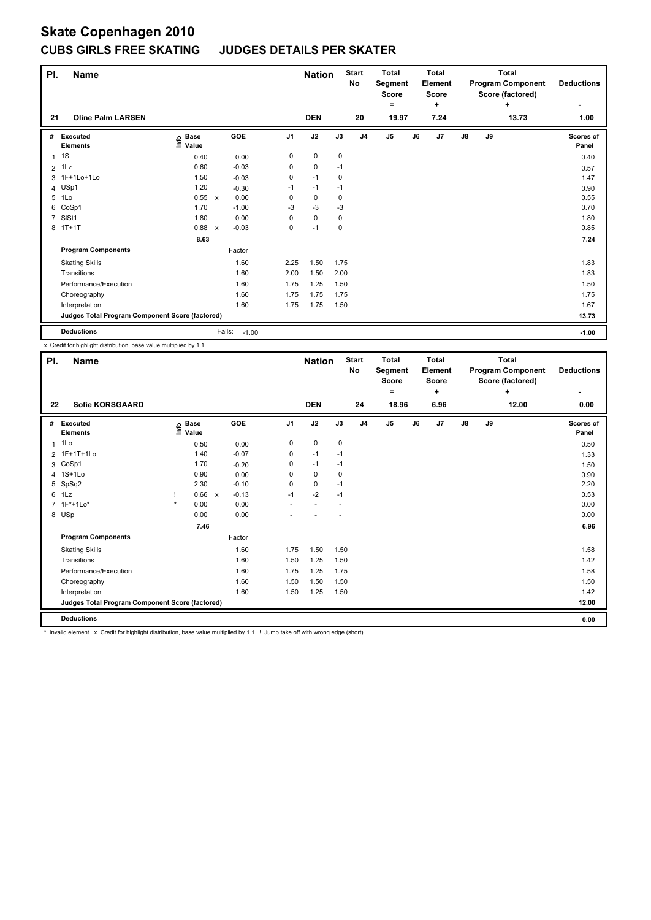### **CUBS GIRLS FREE SKATING JUDGES DETAILS PER SKATER**

| PI.            | Name                                            |                                  |                           |         |                | <b>Nation</b> |           | <b>Start</b><br><b>No</b> | <b>Total</b><br>Segment<br>Score<br>Ξ. |    | <b>Total</b><br>Element<br><b>Score</b> |               |    | <b>Total</b><br><b>Program Component</b><br>Score (factored)<br>÷ | <b>Deductions</b>  |
|----------------|-------------------------------------------------|----------------------------------|---------------------------|---------|----------------|---------------|-----------|---------------------------|----------------------------------------|----|-----------------------------------------|---------------|----|-------------------------------------------------------------------|--------------------|
| 21             | <b>Oline Palm LARSEN</b>                        |                                  |                           |         |                | <b>DEN</b>    |           | 20                        | 19.97                                  |    | ٠<br>7.24                               |               |    | 13.73                                                             | 1.00               |
| #              | Executed<br><b>Elements</b>                     | <b>Base</b><br>$ln f$ o<br>Value |                           | GOE     | J <sub>1</sub> | J2            | J3        | J <sub>4</sub>            | J <sub>5</sub>                         | J6 | J <sub>7</sub>                          | $\mathsf{J}8$ | J9 |                                                                   | Scores of<br>Panel |
| $\mathbf{1}$   | 1S                                              | 0.40                             |                           | 0.00    | 0              | 0             | $\pmb{0}$ |                           |                                        |    |                                         |               |    |                                                                   | 0.40               |
| $\overline{2}$ | 1Lz                                             | 0.60                             |                           | $-0.03$ | 0              | 0             | $-1$      |                           |                                        |    |                                         |               |    |                                                                   | 0.57               |
|                | 3 1F+1Lo+1Lo                                    | 1.50                             |                           | $-0.03$ | 0              | $-1$          | 0         |                           |                                        |    |                                         |               |    |                                                                   | 1.47               |
|                | 4 USp1                                          | 1.20                             |                           | $-0.30$ | -1             | $-1$          | $-1$      |                           |                                        |    |                                         |               |    |                                                                   | 0.90               |
| 5              | 1Lo                                             | 0.55                             | $\mathsf{x}$              | 0.00    | 0              | $\mathbf 0$   | 0         |                           |                                        |    |                                         |               |    |                                                                   | 0.55               |
| 6              | CoSp1                                           | 1.70                             |                           | $-1.00$ | $-3$           | $-3$          | $-3$      |                           |                                        |    |                                         |               |    |                                                                   | 0.70               |
| $\overline{7}$ | SISt1                                           | 1.80                             |                           | 0.00    | 0              | $\mathbf 0$   | 0         |                           |                                        |    |                                         |               |    |                                                                   | 1.80               |
|                | 8 1T+1T                                         | 0.88                             | $\boldsymbol{\mathsf{x}}$ | $-0.03$ | 0              | $-1$          | 0         |                           |                                        |    |                                         |               |    |                                                                   | 0.85               |
|                |                                                 | 8.63                             |                           |         |                |               |           |                           |                                        |    |                                         |               |    |                                                                   | 7.24               |
|                | <b>Program Components</b>                       |                                  |                           | Factor  |                |               |           |                           |                                        |    |                                         |               |    |                                                                   |                    |
|                | <b>Skating Skills</b>                           |                                  |                           | 1.60    | 2.25           | 1.50          | 1.75      |                           |                                        |    |                                         |               |    |                                                                   | 1.83               |
|                | Transitions                                     |                                  |                           | 1.60    | 2.00           | 1.50          | 2.00      |                           |                                        |    |                                         |               |    |                                                                   | 1.83               |
|                | Performance/Execution                           |                                  |                           | 1.60    | 1.75           | 1.25          | 1.50      |                           |                                        |    |                                         |               |    |                                                                   | 1.50               |
|                | Choreography                                    |                                  |                           | 1.60    | 1.75           | 1.75          | 1.75      |                           |                                        |    |                                         |               |    |                                                                   | 1.75               |
|                | Interpretation                                  |                                  |                           | 1.60    | 1.75           | 1.75          | 1.50      |                           |                                        |    |                                         |               |    |                                                                   | 1.67               |
|                | Judges Total Program Component Score (factored) |                                  |                           |         |                |               |           |                           |                                        |    |                                         |               |    |                                                                   | 13.73              |
|                | <b>Deductions</b>                               |                                  | Falls:                    | $-1.00$ |                |               |           |                           |                                        |    |                                         |               |    |                                                                   | $-1.00$            |

x Credit for highlight distribution, base value multiplied by 1.1

| PI.          | <b>Name</b>                                                                                                                     |         |             |              |         |                | <b>Nation</b> |      | <b>Start</b><br>No | <b>Total</b><br><b>Segment</b><br><b>Score</b><br>$=$ |    | Total<br>Element<br><b>Score</b><br>÷ |    |    | <b>Total</b><br><b>Program Component</b><br>Score (factored)<br>÷ | <b>Deductions</b> |
|--------------|---------------------------------------------------------------------------------------------------------------------------------|---------|-------------|--------------|---------|----------------|---------------|------|--------------------|-------------------------------------------------------|----|---------------------------------------|----|----|-------------------------------------------------------------------|-------------------|
| 22           | <b>Sofie KORSGAARD</b>                                                                                                          |         |             |              |         |                | <b>DEN</b>    |      | 24                 | 18.96                                                 |    | 6.96                                  |    |    | 12.00                                                             | ٠<br>0.00         |
| #            | Executed                                                                                                                        |         | <b>Base</b> |              | GOE     | J <sub>1</sub> | J2            | J3   | J <sub>4</sub>     | J <sub>5</sub>                                        | J6 | J <sub>7</sub>                        | J8 | J9 |                                                                   | Scores of         |
|              | <b>Elements</b>                                                                                                                 | ١nf٥    | Value       |              |         |                |               |      |                    |                                                       |    |                                       |    |    |                                                                   | Panel             |
| $\mathbf{1}$ | 1Lo                                                                                                                             |         | 0.50        |              | 0.00    | 0              | 0             | 0    |                    |                                                       |    |                                       |    |    |                                                                   | 0.50              |
|              | 2 1F+1T+1Lo                                                                                                                     |         | 1.40        |              | $-0.07$ | 0              | $-1$          | $-1$ |                    |                                                       |    |                                       |    |    |                                                                   | 1.33              |
| 3            | CoSp1                                                                                                                           |         | 1.70        |              | $-0.20$ | 0              | $-1$          | $-1$ |                    |                                                       |    |                                       |    |    |                                                                   | 1.50              |
| 4            | $1S+1L0$                                                                                                                        |         | 0.90        |              | 0.00    | $\Omega$       | 0             | 0    |                    |                                                       |    |                                       |    |    |                                                                   | 0.90              |
|              | 5 SpSq2                                                                                                                         |         | 2.30        |              | $-0.10$ | $\Omega$       | 0             | $-1$ |                    |                                                       |    |                                       |    |    |                                                                   | 2.20              |
|              | 6 1Lz                                                                                                                           |         | 0.66        | $\mathbf{x}$ | $-0.13$ | $-1$           | $-2$          | $-1$ |                    |                                                       |    |                                       |    |    |                                                                   | 0.53              |
|              | 7 1F*+1Lo*                                                                                                                      | $\star$ | 0.00        |              | 0.00    |                |               |      |                    |                                                       |    |                                       |    |    |                                                                   | 0.00              |
|              | 8 USp                                                                                                                           |         | 0.00        |              | 0.00    |                |               |      |                    |                                                       |    |                                       |    |    |                                                                   | 0.00              |
|              |                                                                                                                                 |         | 7.46        |              |         |                |               |      |                    |                                                       |    |                                       |    |    |                                                                   | 6.96              |
|              | <b>Program Components</b>                                                                                                       |         |             |              | Factor  |                |               |      |                    |                                                       |    |                                       |    |    |                                                                   |                   |
|              | <b>Skating Skills</b>                                                                                                           |         |             |              | 1.60    | 1.75           | 1.50          | 1.50 |                    |                                                       |    |                                       |    |    |                                                                   | 1.58              |
|              | Transitions                                                                                                                     |         |             |              | 1.60    | 1.50           | 1.25          | 1.50 |                    |                                                       |    |                                       |    |    |                                                                   | 1.42              |
|              | Performance/Execution                                                                                                           |         |             |              | 1.60    | 1.75           | 1.25          | 1.75 |                    |                                                       |    |                                       |    |    |                                                                   | 1.58              |
|              | Choreography                                                                                                                    |         |             |              | 1.60    | 1.50           | 1.50          | 1.50 |                    |                                                       |    |                                       |    |    |                                                                   | 1.50              |
|              | Interpretation                                                                                                                  |         |             |              | 1.60    | 1.50           | 1.25          | 1.50 |                    |                                                       |    |                                       |    |    |                                                                   | 1.42              |
|              | Judges Total Program Component Score (factored)                                                                                 |         |             |              |         |                |               |      |                    |                                                       |    |                                       |    |    |                                                                   | 12.00             |
|              | <b>Deductions</b>                                                                                                               |         |             |              |         |                |               |      |                    |                                                       |    |                                       |    |    |                                                                   | 0.00              |
|              | * Involid olement w Credit for bigblight dietribution, base value multiplied by 1,1, 1, 1 Jump take off with wrong adge (chart) |         |             |              |         |                |               |      |                    |                                                       |    |                                       |    |    |                                                                   |                   |

Invalid element x Credit for highlight distribution, base value multiplied by 1.1 ! Jump take off with wrong edge (short)